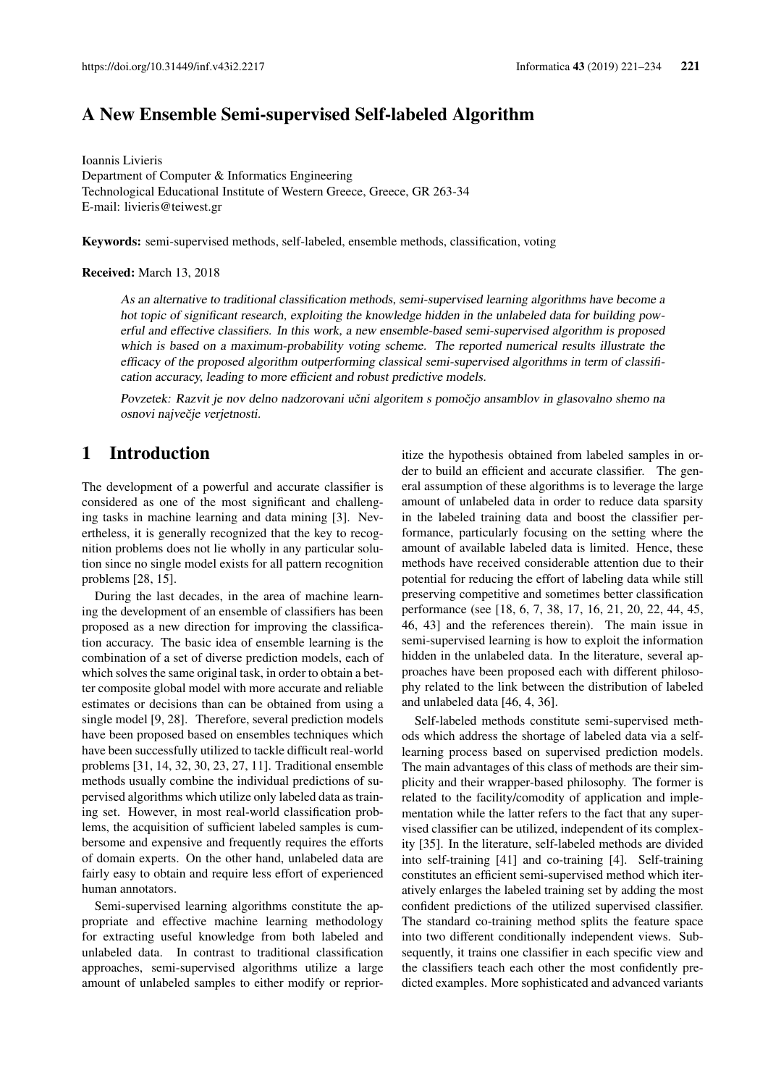# A New Ensemble Semi-supervised Self-labeled Algorithm

Ioannis Livieris Department of Computer & Informatics Engineering Technological Educational Institute of Western Greece, Greece, GR 263-34 E-mail: livieris@teiwest.gr

Keywords: semi-supervised methods, self-labeled, ensemble methods, classification, voting

#### Received: March 13, 2018

As an alternative to traditional classification methods, semi-supervised learning algorithms have become a hot topic of significant research, exploiting the knowledge hidden in the unlabeled data for building powerful and effective classifiers. In this work, a new ensemble-based semi-supervised algorithm is proposed which is based on a maximum-probability voting scheme. The reported numerical results illustrate the efficacy of the proposed algorithm outperforming classical semi-supervised algorithms in term of classification accuracy, leading to more efficient and robust predictive models.

Povzetek: Razvit je nov delno nadzorovani učni algoritem s pomočjo ansamblov in glasovalno shemo na osnovi največje verjetnosti.

## 1 Introduction

The development of a powerful and accurate classifier is considered as one of the most significant and challenging tasks in machine learning and data mining [3]. Nevertheless, it is generally recognized that the key to recognition problems does not lie wholly in any particular solution since no single model exists for all pattern recognition problems [28, 15].

During the last decades, in the area of machine learning the development of an ensemble of classifiers has been proposed as a new direction for improving the classification accuracy. The basic idea of ensemble learning is the combination of a set of diverse prediction models, each of which solves the same original task, in order to obtain a better composite global model with more accurate and reliable estimates or decisions than can be obtained from using a single model [9, 28]. Therefore, several prediction models have been proposed based on ensembles techniques which have been successfully utilized to tackle difficult real-world problems [31, 14, 32, 30, 23, 27, 11]. Traditional ensemble methods usually combine the individual predictions of supervised algorithms which utilize only labeled data as training set. However, in most real-world classification problems, the acquisition of sufficient labeled samples is cumbersome and expensive and frequently requires the efforts of domain experts. On the other hand, unlabeled data are fairly easy to obtain and require less effort of experienced human annotators.

Semi-supervised learning algorithms constitute the appropriate and effective machine learning methodology for extracting useful knowledge from both labeled and unlabeled data. In contrast to traditional classification approaches, semi-supervised algorithms utilize a large amount of unlabeled samples to either modify or reprioritize the hypothesis obtained from labeled samples in order to build an efficient and accurate classifier. The general assumption of these algorithms is to leverage the large amount of unlabeled data in order to reduce data sparsity in the labeled training data and boost the classifier performance, particularly focusing on the setting where the amount of available labeled data is limited. Hence, these methods have received considerable attention due to their potential for reducing the effort of labeling data while still preserving competitive and sometimes better classification performance (see [18, 6, 7, 38, 17, 16, 21, 20, 22, 44, 45, 46, 43] and the references therein). The main issue in semi-supervised learning is how to exploit the information hidden in the unlabeled data. In the literature, several approaches have been proposed each with different philosophy related to the link between the distribution of labeled and unlabeled data [46, 4, 36].

Self-labeled methods constitute semi-supervised methods which address the shortage of labeled data via a selflearning process based on supervised prediction models. The main advantages of this class of methods are their simplicity and their wrapper-based philosophy. The former is related to the facility/comodity of application and implementation while the latter refers to the fact that any supervised classifier can be utilized, independent of its complexity [35]. In the literature, self-labeled methods are divided into self-training [41] and co-training [4]. Self-training constitutes an efficient semi-supervised method which iteratively enlarges the labeled training set by adding the most confident predictions of the utilized supervised classifier. The standard co-training method splits the feature space into two different conditionally independent views. Subsequently, it trains one classifier in each specific view and the classifiers teach each other the most confidently predicted examples. More sophisticated and advanced variants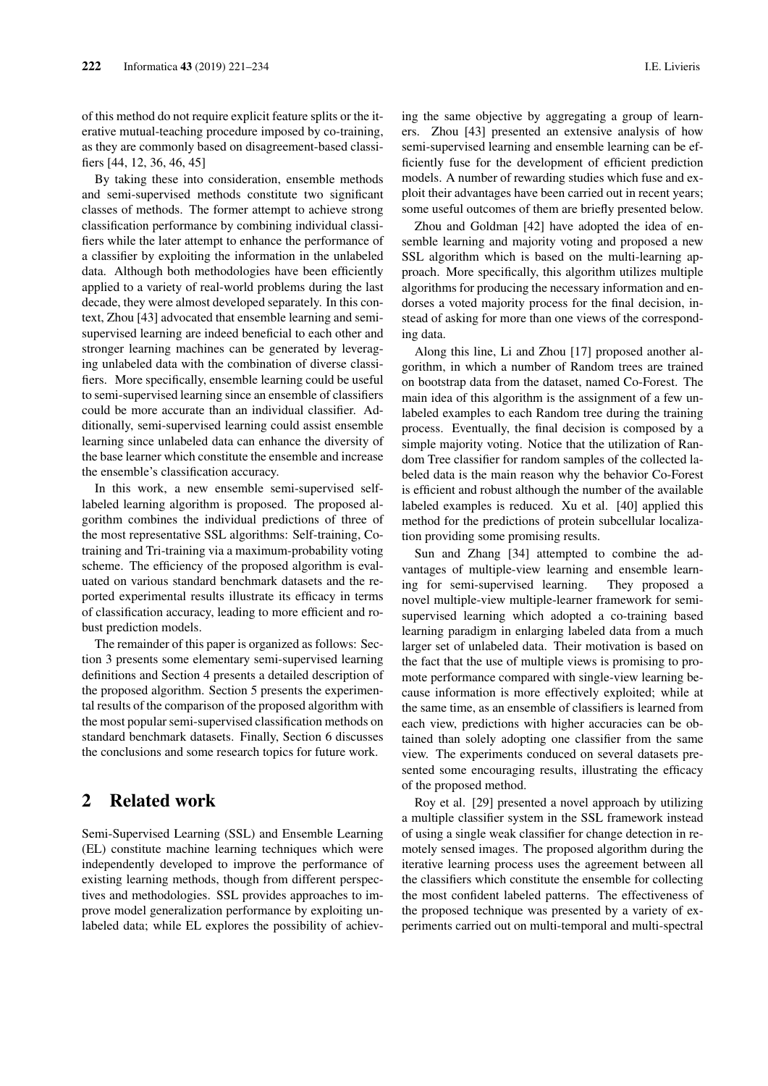of this method do not require explicit feature splits or the iterative mutual-teaching procedure imposed by co-training, as they are commonly based on disagreement-based classifiers [44, 12, 36, 46, 45]

By taking these into consideration, ensemble methods and semi-supervised methods constitute two significant classes of methods. The former attempt to achieve strong classification performance by combining individual classifiers while the later attempt to enhance the performance of a classifier by exploiting the information in the unlabeled data. Although both methodologies have been efficiently applied to a variety of real-world problems during the last decade, they were almost developed separately. In this context, Zhou [43] advocated that ensemble learning and semisupervised learning are indeed beneficial to each other and stronger learning machines can be generated by leveraging unlabeled data with the combination of diverse classifiers. More specifically, ensemble learning could be useful to semi-supervised learning since an ensemble of classifiers could be more accurate than an individual classifier. Additionally, semi-supervised learning could assist ensemble learning since unlabeled data can enhance the diversity of the base learner which constitute the ensemble and increase the ensemble's classification accuracy.

In this work, a new ensemble semi-supervised selflabeled learning algorithm is proposed. The proposed algorithm combines the individual predictions of three of the most representative SSL algorithms: Self-training, Cotraining and Tri-training via a maximum-probability voting scheme. The efficiency of the proposed algorithm is evaluated on various standard benchmark datasets and the reported experimental results illustrate its efficacy in terms of classification accuracy, leading to more efficient and robust prediction models.

The remainder of this paper is organized as follows: Section 3 presents some elementary semi-supervised learning definitions and Section 4 presents a detailed description of the proposed algorithm. Section 5 presents the experimental results of the comparison of the proposed algorithm with the most popular semi-supervised classification methods on standard benchmark datasets. Finally, Section 6 discusses the conclusions and some research topics for future work.

# 2 Related work

Semi-Supervised Learning (SSL) and Ensemble Learning (EL) constitute machine learning techniques which were independently developed to improve the performance of existing learning methods, though from different perspectives and methodologies. SSL provides approaches to improve model generalization performance by exploiting unlabeled data; while EL explores the possibility of achieving the same objective by aggregating a group of learners. Zhou [43] presented an extensive analysis of how semi-supervised learning and ensemble learning can be efficiently fuse for the development of efficient prediction models. A number of rewarding studies which fuse and exploit their advantages have been carried out in recent years; some useful outcomes of them are briefly presented below.

Zhou and Goldman [42] have adopted the idea of ensemble learning and majority voting and proposed a new SSL algorithm which is based on the multi-learning approach. More specifically, this algorithm utilizes multiple algorithms for producing the necessary information and endorses a voted majority process for the final decision, instead of asking for more than one views of the corresponding data.

Along this line, Li and Zhou [17] proposed another algorithm, in which a number of Random trees are trained on bootstrap data from the dataset, named Co-Forest. The main idea of this algorithm is the assignment of a few unlabeled examples to each Random tree during the training process. Eventually, the final decision is composed by a simple majority voting. Notice that the utilization of Random Tree classifier for random samples of the collected labeled data is the main reason why the behavior Co-Forest is efficient and robust although the number of the available labeled examples is reduced. Xu et al. [40] applied this method for the predictions of protein subcellular localization providing some promising results.

Sun and Zhang [34] attempted to combine the advantages of multiple-view learning and ensemble learning for semi-supervised learning. They proposed a novel multiple-view multiple-learner framework for semisupervised learning which adopted a co-training based learning paradigm in enlarging labeled data from a much larger set of unlabeled data. Their motivation is based on the fact that the use of multiple views is promising to promote performance compared with single-view learning because information is more effectively exploited; while at the same time, as an ensemble of classifiers is learned from each view, predictions with higher accuracies can be obtained than solely adopting one classifier from the same view. The experiments conduced on several datasets presented some encouraging results, illustrating the efficacy of the proposed method.

Roy et al. [29] presented a novel approach by utilizing a multiple classifier system in the SSL framework instead of using a single weak classifier for change detection in remotely sensed images. The proposed algorithm during the iterative learning process uses the agreement between all the classifiers which constitute the ensemble for collecting the most confident labeled patterns. The effectiveness of the proposed technique was presented by a variety of experiments carried out on multi-temporal and multi-spectral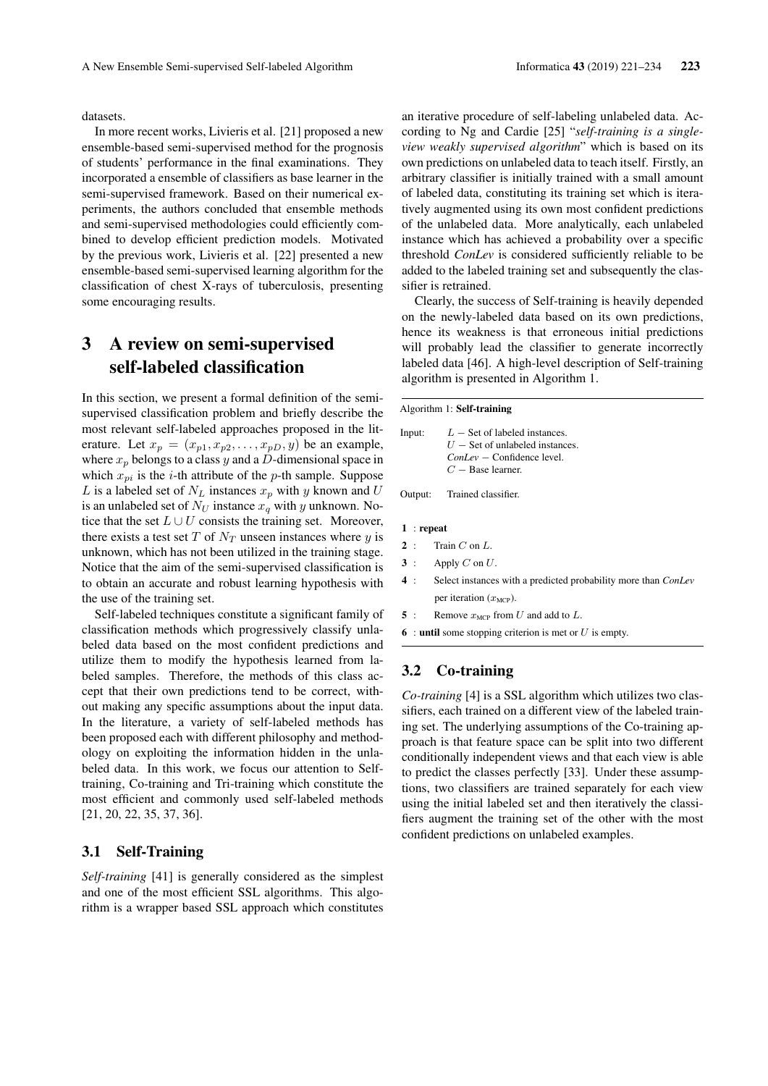datasets.

In more recent works, Livieris et al. [21] proposed a new ensemble-based semi-supervised method for the prognosis of students' performance in the final examinations. They incorporated a ensemble of classifiers as base learner in the semi-supervised framework. Based on their numerical experiments, the authors concluded that ensemble methods and semi-supervised methodologies could efficiently combined to develop efficient prediction models. Motivated by the previous work, Livieris et al. [22] presented a new ensemble-based semi-supervised learning algorithm for the classification of chest X-rays of tuberculosis, presenting some encouraging results.

# 3 A review on semi-supervised self-labeled classification

In this section, we present a formal definition of the semisupervised classification problem and briefly describe the most relevant self-labeled approaches proposed in the literature. Let  $x_p = (x_{p1}, x_{p2}, \dots, x_{pD}, y)$  be an example, where  $x_p$  belongs to a class y and a D-dimensional space in which  $x_{pi}$  is the *i*-th attribute of the *p*-th sample. Suppose L is a labeled set of  $N_L$  instances  $x_p$  with y known and U is an unlabeled set of  $N_U$  instance  $x_q$  with y unknown. Notice that the set  $L \cup U$  consists the training set. Moreover, there exists a test set  $T$  of  $N_T$  unseen instances where  $y$  is unknown, which has not been utilized in the training stage. Notice that the aim of the semi-supervised classification is to obtain an accurate and robust learning hypothesis with the use of the training set.

Self-labeled techniques constitute a significant family of classification methods which progressively classify unlabeled data based on the most confident predictions and utilize them to modify the hypothesis learned from labeled samples. Therefore, the methods of this class accept that their own predictions tend to be correct, without making any specific assumptions about the input data. In the literature, a variety of self-labeled methods has been proposed each with different philosophy and methodology on exploiting the information hidden in the unlabeled data. In this work, we focus our attention to Selftraining, Co-training and Tri-training which constitute the most efficient and commonly used self-labeled methods [21, 20, 22, 35, 37, 36].

### 3.1 Self-Training

*Self-training* [41] is generally considered as the simplest and one of the most efficient SSL algorithms. This algorithm is a wrapper based SSL approach which constitutes an iterative procedure of self-labeling unlabeled data. According to Ng and Cardie [25] "*self-training is a singleview weakly supervised algorithm*" which is based on its own predictions on unlabeled data to teach itself. Firstly, an arbitrary classifier is initially trained with a small amount of labeled data, constituting its training set which is iteratively augmented using its own most confident predictions of the unlabeled data. More analytically, each unlabeled instance which has achieved a probability over a specific threshold *ConLev* is considered sufficiently reliable to be added to the labeled training set and subsequently the classifier is retrained.

Clearly, the success of Self-training is heavily depended on the newly-labeled data based on its own predictions, hence its weakness is that erroneous initial predictions will probably lead the classifier to generate incorrectly labeled data [46]. A high-level description of Self-training algorithm is presented in Algorithm 1.

Algorithm 1: Self-training

| Input: | $L$ – Set of labeled instances.   |
|--------|-----------------------------------|
|        | $U$ – Set of unlabeled instances. |
|        | $ConLev$ – Confidence level.      |
|        | $C -$ Base learner.               |

Output: Trained classifier.

1 : repeat

- $2:$  Train C on L.
- $3$ : Apply C on U.
- 4 : Select instances with a predicted probability more than *ConLev* per iteration  $(x_{\text{MCP}})$ .
- 5 : Remove  $x_{\text{MCP}}$  from U and add to L.
- 6 : until some stopping criterion is met or  $U$  is empty.

### 3.2 Co-training

*Co-training* [4] is a SSL algorithm which utilizes two classifiers, each trained on a different view of the labeled training set. The underlying assumptions of the Co-training approach is that feature space can be split into two different conditionally independent views and that each view is able to predict the classes perfectly [33]. Under these assumptions, two classifiers are trained separately for each view using the initial labeled set and then iteratively the classifiers augment the training set of the other with the most confident predictions on unlabeled examples.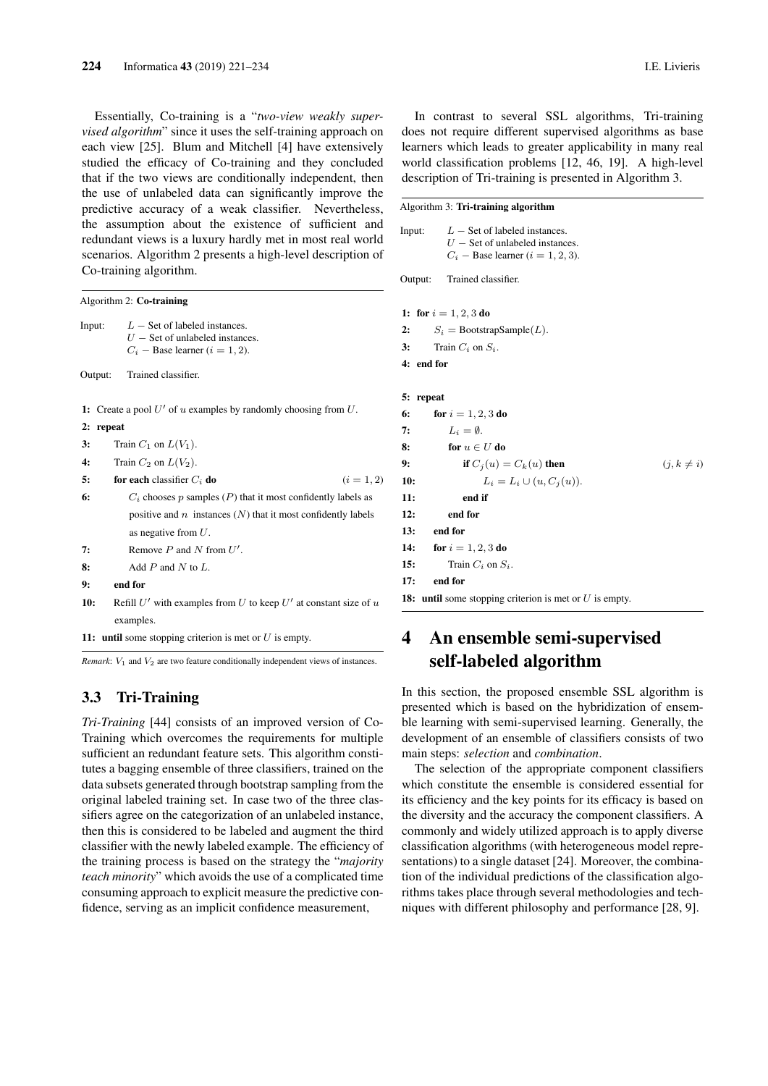Essentially, Co-training is a "*two-view weakly supervised algorithm*" since it uses the self-training approach on each view [25]. Blum and Mitchell [4] have extensively studied the efficacy of Co-training and they concluded that if the two views are conditionally independent, then the use of unlabeled data can significantly improve the predictive accuracy of a weak classifier. Nevertheless, the assumption about the existence of sufficient and redundant views is a luxury hardly met in most real world scenarios. Algorithm 2 presents a high-level description of Co-training algorithm.

|         |           | Algorithm 2: Co-training                                                                                     |              |
|---------|-----------|--------------------------------------------------------------------------------------------------------------|--------------|
|         | Input:    | $L$ – Set of labeled instances.<br>$U$ – Set of unlabeled instances.<br>$C_i$ – Base learner ( $i = 1, 2$ ). |              |
| Output: |           | Trained classifier.                                                                                          |              |
|         |           | 1: Create a pool U' of u examples by randomly choosing from U.                                               |              |
|         | 2: repeat |                                                                                                              |              |
| 3:      |           | Train $C_1$ on $L(V_1)$ .                                                                                    |              |
| 4:      |           | Train $C_2$ on $L(V_2)$ .                                                                                    |              |
| 5:      |           | for each classifier $C_i$ do                                                                                 | $(i = 1, 2)$ |
| 6:      |           | $C_i$ chooses $p$ samples $(P)$ that it most confidently labels as                                           |              |
|         |           | positive and $n$ instances $(N)$ that it most confidently labels                                             |              |
|         |           | as negative from $U$ .                                                                                       |              |
| 7:      |           | Remove $P$ and $N$ from $U'$ .                                                                               |              |
| 8:      |           | Add $P$ and $N$ to $L$ .                                                                                     |              |
| 9:      |           | end for                                                                                                      |              |
| 10:     |           | Refill $U'$ with examples from U to keep $U'$ at constant size of u                                          |              |
|         |           | examples.                                                                                                    |              |
|         |           | 11: until some stopping criterion is met or $U$ is empty.                                                    |              |

*Remark*:  $V_1$  and  $V_2$  are two feature conditionally independent views of instances.

### 3.3 Tri-Training

*Tri-Training* [44] consists of an improved version of Co-Training which overcomes the requirements for multiple sufficient an redundant feature sets. This algorithm constitutes a bagging ensemble of three classifiers, trained on the data subsets generated through bootstrap sampling from the original labeled training set. In case two of the three classifiers agree on the categorization of an unlabeled instance, then this is considered to be labeled and augment the third classifier with the newly labeled example. The efficiency of the training process is based on the strategy the "*majority teach minority*" which avoids the use of a complicated time consuming approach to explicit measure the predictive confidence, serving as an implicit confidence measurement,

In contrast to several SSL algorithms, Tri-training does not require different supervised algorithms as base learners which leads to greater applicability in many real world classification problems [12, 46, 19]. A high-level description of Tri-training is presented in Algorithm 3.

#### Algorithm 3: Tri-training algorithm

```
Input: L - \text{Set of labeled instances.}U -Set of unlabeled instances.
         C_i – Base learner (i = 1, 2, 3).
Output: Trained classifier.
1: for i = 1, 2, 3 do
2: S_i = \text{BoostrapSample}(L).
3: Train C_i on S_i.
4: end for
5: repeat
6: for i = 1, 2, 3 do
7: L_i = \emptyset.
8: for u \in U do
9: if C_j(u) = C_k(u) then (j, k \neq i)10: L_i = L_i \cup (u, C_i(u)).11: end if
12: end for
13: end for
14: for i = 1, 2, 3 do
```
15: Train  $C_i$  on  $S_i$ . 17: end for

18: until some stopping criterion is met or  $U$  is empty.

# 4 An ensemble semi-supervised self-labeled algorithm

In this section, the proposed ensemble SSL algorithm is presented which is based on the hybridization of ensemble learning with semi-supervised learning. Generally, the development of an ensemble of classifiers consists of two main steps: *selection* and *combination*.

The selection of the appropriate component classifiers which constitute the ensemble is considered essential for its efficiency and the key points for its efficacy is based on the diversity and the accuracy the component classifiers. A commonly and widely utilized approach is to apply diverse classification algorithms (with heterogeneous model representations) to a single dataset [24]. Moreover, the combination of the individual predictions of the classification algorithms takes place through several methodologies and techniques with different philosophy and performance [28, 9].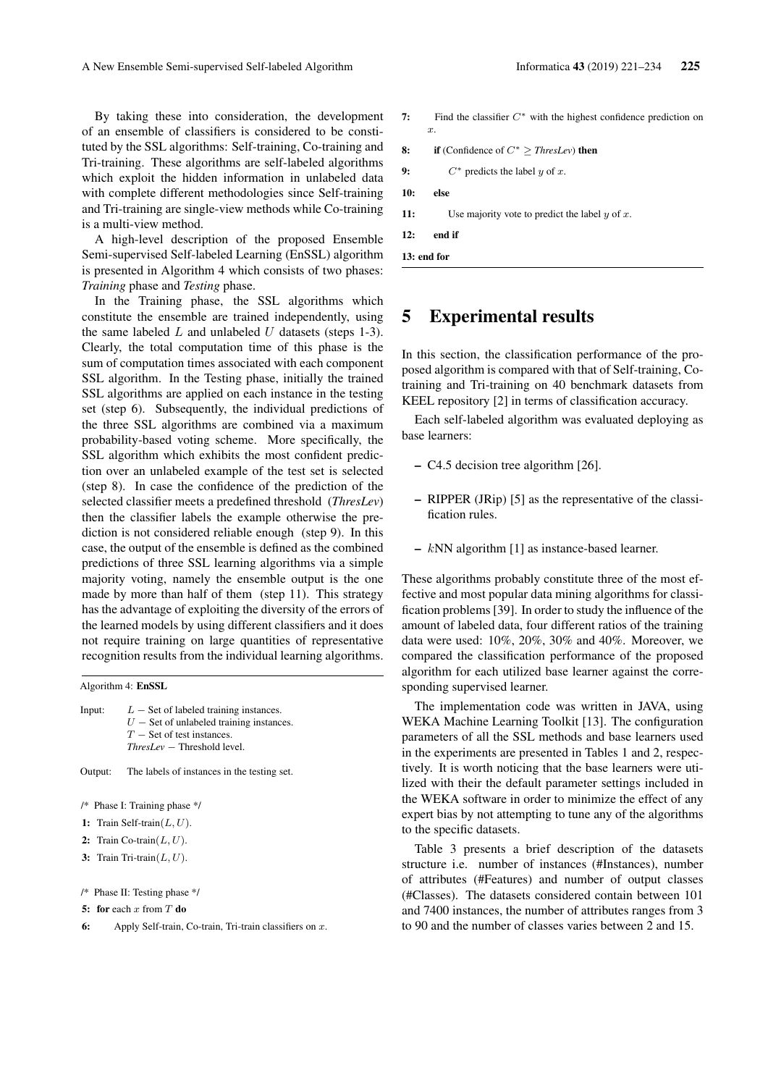By taking these into consideration, the development of an ensemble of classifiers is considered to be constituted by the SSL algorithms: Self-training, Co-training and Tri-training. These algorithms are self-labeled algorithms which exploit the hidden information in unlabeled data with complete different methodologies since Self-training and Tri-training are single-view methods while Co-training is a multi-view method.

A high-level description of the proposed Ensemble Semi-supervised Self-labeled Learning (EnSSL) algorithm is presented in Algorithm 4 which consists of two phases: *Training* phase and *Testing* phase.

In the Training phase, the SSL algorithms which constitute the ensemble are trained independently, using the same labeled  $L$  and unlabeled  $U$  datasets (steps 1-3). Clearly, the total computation time of this phase is the sum of computation times associated with each component SSL algorithm. In the Testing phase, initially the trained SSL algorithms are applied on each instance in the testing set (step 6). Subsequently, the individual predictions of the three SSL algorithms are combined via a maximum probability-based voting scheme. More specifically, the SSL algorithm which exhibits the most confident prediction over an unlabeled example of the test set is selected (step 8). In case the confidence of the prediction of the selected classifier meets a predefined threshold (*ThresLev*) then the classifier labels the example otherwise the prediction is not considered reliable enough (step 9). In this case, the output of the ensemble is defined as the combined predictions of three SSL learning algorithms via a simple majority voting, namely the ensemble output is the one made by more than half of them (step 11). This strategy has the advantage of exploiting the diversity of the errors of the learned models by using different classifiers and it does not require training on large quantities of representative recognition results from the individual learning algorithms.

Algorithm 4: EnSSL

Input:  $L -$  Set of labeled training instances.  $U$  – Set of unlabeled training instances.  $T -$  Set of test instances. *ThresLev* − Threshold level.

Output: The labels of instances in the testing set.

/\* Phase I: Training phase \*/

- 1: Train Self-train $(L, U)$ .
- 2: Train Co-train $(L, U)$ .
- 3: Train Tri-train $(L, U)$ .

```
/* Phase II: Testing phase */
```
- 5: for each x from  $T$  do
- 6: Apply Self-train, Co-train, Tri-train classifiers on  $x$ .
- 7: Find the classifier  $C^*$  with the highest confidence prediction on x.
- 8: if (Confidence of C<sup>∗</sup> ≥ *ThresLev*) then
- 9:  $C^*$  predicts the label y of x.
- 
- 11: Use majority vote to predict the label  $y$  of  $x$ .
- 12: end if

13: end for

# 5 Experimental results

In this section, the classification performance of the proposed algorithm is compared with that of Self-training, Cotraining and Tri-training on 40 benchmark datasets from KEEL repository [2] in terms of classification accuracy.

Each self-labeled algorithm was evaluated deploying as base learners:

- C4.5 decision tree algorithm [26].
- RIPPER (JRip) [5] as the representative of the classification rules.
- kNN algorithm [1] as instance-based learner.

These algorithms probably constitute three of the most effective and most popular data mining algorithms for classification problems [39]. In order to study the influence of the amount of labeled data, four different ratios of the training data were used: 10%, 20%, 30% and 40%. Moreover, we compared the classification performance of the proposed algorithm for each utilized base learner against the corresponding supervised learner.

The implementation code was written in JAVA, using WEKA Machine Learning Toolkit [13]. The configuration parameters of all the SSL methods and base learners used in the experiments are presented in Tables 1 and 2, respectively. It is worth noticing that the base learners were utilized with their the default parameter settings included in the WEKA software in order to minimize the effect of any expert bias by not attempting to tune any of the algorithms to the specific datasets.

Table 3 presents a brief description of the datasets structure i.e. number of instances (#Instances), number of attributes (#Features) and number of output classes (#Classes). The datasets considered contain between 101 and 7400 instances, the number of attributes ranges from 3 to 90 and the number of classes varies between 2 and 15.

- 10: else
	-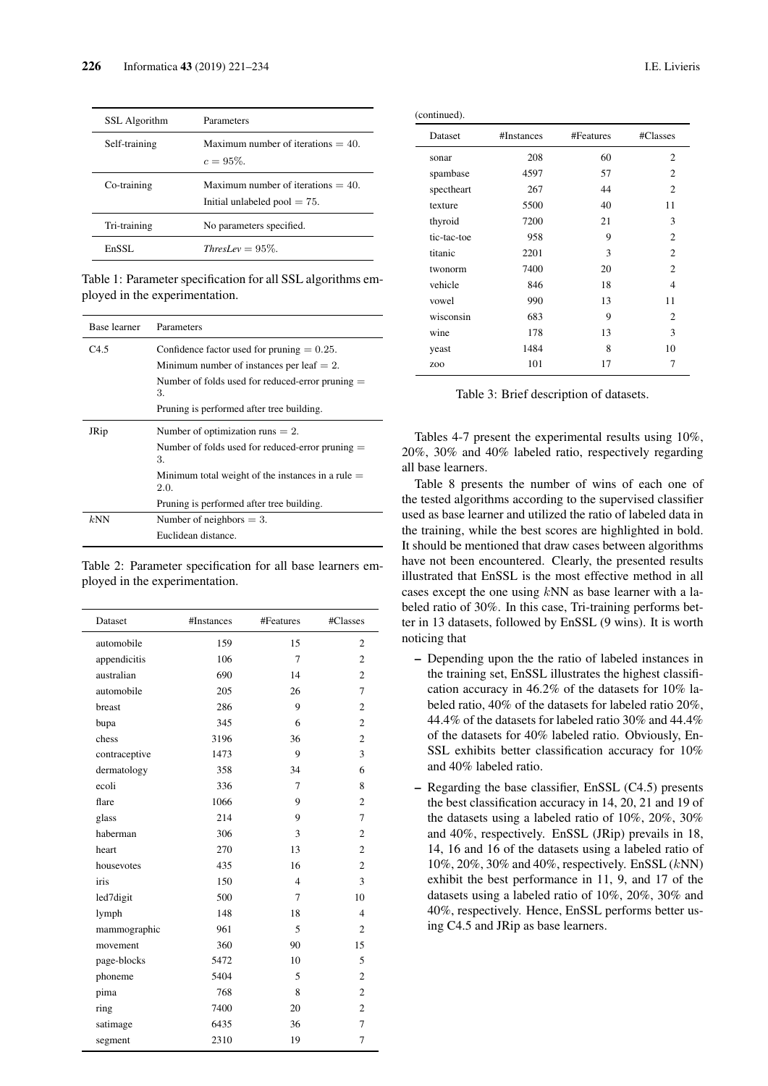| SSL Algorithm | Parameters                                                               |
|---------------|--------------------------------------------------------------------------|
| Self-training | Maximum number of iterations $=$ 40.<br>$c = 95\%$ .                     |
| Co-training   | Maximum number of iterations $= 40$ .<br>Initial unlabeled pool $= 75$ . |
| Tri-training  | No parameters specified.                                                 |
| EnSSL.        | ThresLev = $95\%$                                                        |

Table 1: Parameter specification for all SSL algorithms employed in the experimentation.

| Base learner | Parameters                                                  |
|--------------|-------------------------------------------------------------|
| C4.5         | Confidence factor used for pruning $= 0.25$ .               |
|              | Minimum number of instances per leaf $= 2$ .                |
|              | Number of folds used for reduced-error pruning $=$<br>3.    |
|              | Pruning is performed after tree building.                   |
| JRip         | Number of optimization runs $= 2$ .                         |
|              | Number of folds used for reduced-error pruning $=$<br>3.    |
|              | Minimum total weight of the instances in a rule $=$<br>2.0. |
|              | Pruning is performed after tree building.                   |
| kNN          | Number of neighbors $= 3$ .                                 |
|              | Euclidean distance.                                         |

Table 2: Parameter specification for all base learners employed in the experimentation.

| Dataset       | #Instances | #Features      | #Classes       |
|---------------|------------|----------------|----------------|
| automobile    | 159        | 15             | $\overline{c}$ |
| appendicitis  | 106        | 7              | $\overline{c}$ |
| australian    | 690        | 14             | 2              |
| automobile    | 205        | 26             | 7              |
| breast        | 286        | 9              | $\overline{c}$ |
| bupa          | 345        | 6              | $\overline{c}$ |
| chess         | 3196       | 36             | $\overline{c}$ |
| contraceptive | 1473       | 9              | 3              |
| dermatology   | 358        | 34             | 6              |
| ecoli         | 336        | 7              | 8              |
| flare         | 1066       | 9              | $\overline{c}$ |
| glass         | 214        | 9              | 7              |
| haberman      | 306        | 3              | $\overline{c}$ |
| heart         | 270        | 13             | $\overline{c}$ |
| housevotes    | 435        | 16             | $\overline{c}$ |
| iris          | 150        | $\overline{4}$ | 3              |
| led7digit     | 500        | 7              | 10             |
| lymph         | 148        | 18             | $\overline{4}$ |
| mammographic  | 961        | 5              | $\overline{c}$ |
| movement      | 360        | 90             | 15             |
| page-blocks   | 5472       | 10             | 5              |
| phoneme       | 5404       | 5              | $\overline{c}$ |
| pima          | 768        | 8              | $\overline{c}$ |
| ring          | 7400       | 20             | $\overline{c}$ |
| satimage      | 6435       | 36             | 7              |
| segment       | 2310       | 19             | 7              |

| (continued). |  |
|--------------|--|
|--------------|--|

| Dataset         | #Instances | #Features | #Classes       |
|-----------------|------------|-----------|----------------|
| sonar           | 208        | 60        | 2              |
| spambase        | 4597       | 57        | $\overline{c}$ |
| spectheart      | 267        | 44        | $\overline{c}$ |
| texture         | 5500       | 40        | 11             |
| thyroid         | 7200       | 21        | 3              |
| tic-tac-toe     | 958        | 9         | 2              |
| titanic         | 2201       | 3         | $\overline{c}$ |
| twonorm         | 7400       | 20        | 2              |
| vehicle         | 846        | 18        | 4              |
| vowel           | 990        | 13        | 11             |
| wisconsin       | 683        | 9         | $\overline{c}$ |
| wine            | 178        | 13        | 3              |
| yeast           | 1484       | 8         | 10             |
| ZO <sub>O</sub> | 101        | 17        | 7              |

Table 3: Brief description of datasets.

Tables 4-7 present the experimental results using 10%, 20%, 30% and 40% labeled ratio, respectively regarding all base learners.

Table 8 presents the number of wins of each one of the tested algorithms according to the supervised classifier used as base learner and utilized the ratio of labeled data in the training, while the best scores are highlighted in bold. It should be mentioned that draw cases between algorithms have not been encountered. Clearly, the presented results illustrated that EnSSL is the most effective method in all cases except the one using  $kNN$  as base learner with a labeled ratio of 30%. In this case, Tri-training performs better in 13 datasets, followed by EnSSL (9 wins). It is worth noticing that

- Depending upon the the ratio of labeled instances in the training set, EnSSL illustrates the highest classification accuracy in 46.2% of the datasets for 10% labeled ratio, 40% of the datasets for labeled ratio 20%, 44.4% of the datasets for labeled ratio 30% and 44.4% of the datasets for 40% labeled ratio. Obviously, En-SSL exhibits better classification accuracy for 10% and 40% labeled ratio.
- Regarding the base classifier, EnSSL (C4.5) presents the best classification accuracy in 14, 20, 21 and 19 of the datasets using a labeled ratio of 10%, 20%, 30% and 40%, respectively. EnSSL (JRip) prevails in 18, 14, 16 and 16 of the datasets using a labeled ratio of 10%, 20%, 30% and 40%, respectively. EnSSL (kNN) exhibit the best performance in 11, 9, and 17 of the datasets using a labeled ratio of 10%, 20%, 30% and 40%, respectively. Hence, EnSSL performs better using C4.5 and JRip as base learners.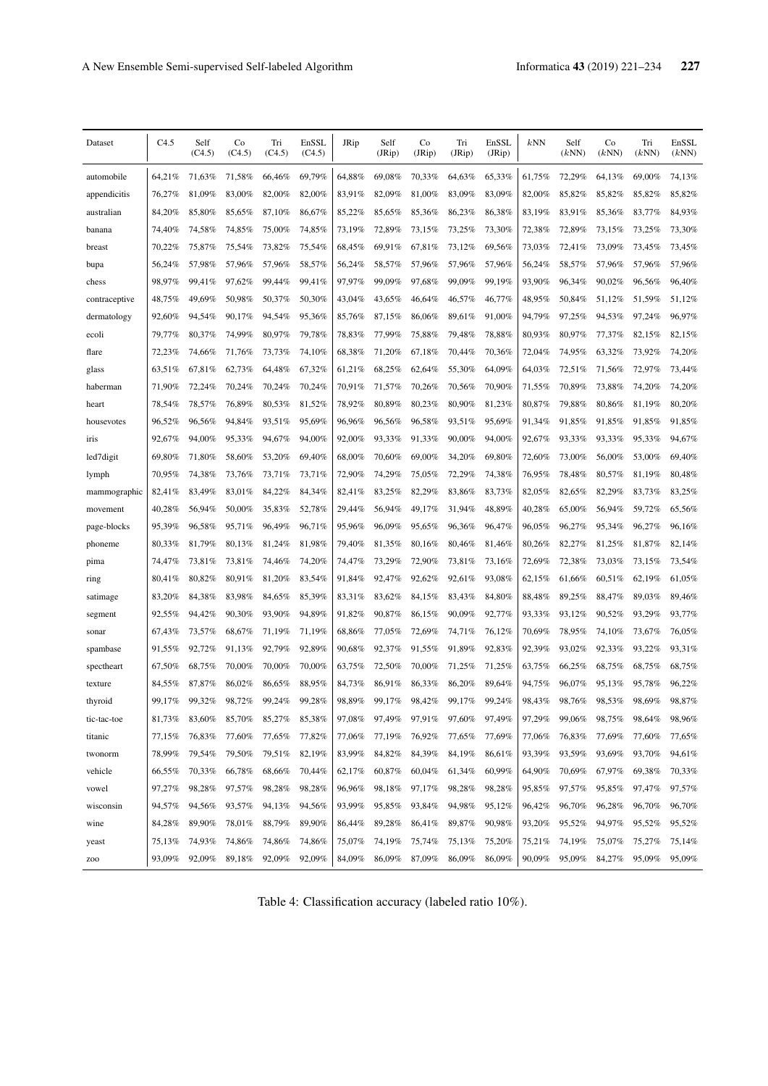| Dataset         | C4.5   | Self<br>(C4.5) | Co<br>(C4.5) | Tri<br>(C4.5) | EnSSL<br>(C4.5) | JRip   | Self<br>(JRip) | Co<br>(JRip) | Tri<br>(JRip) | EnSSL<br>(JRip) | kNN    | Self<br>(kNN) | Co<br>(kNN) | Tri<br>(kNN) | EnSSL<br>(kNN) |
|-----------------|--------|----------------|--------------|---------------|-----------------|--------|----------------|--------------|---------------|-----------------|--------|---------------|-------------|--------------|----------------|
| automobile      | 64,21% | 71,63%         | 71,58%       | 66,46%        | 69,79%          | 64,88% | 69,08%         | 70,33%       | 64,63%        | 65,33%          | 61,75% | 72,29%        | 64,13%      | 69,00%       | 74.13%         |
| appendicitis    | 76,27% | 81,09%         | 83,00%       | 82,00%        | 82,00%          | 83,91% | 82,09%         | 81,00%       | 83,09%        | 83,09%          | 82,00% | 85,82%        | 85,82%      | 85,82%       | 85,82%         |
| australian      | 84,20% | 85,80%         | 85,65%       | 87,10%        | 86,67%          | 85,22% | 85,65%         | 85,36%       | 86,23%        | 86,38%          | 83,19% | 83,91%        | 85,36%      | 83,77%       | 84,93%         |
| banana          | 74,40% | 74,58%         | 74,85%       | 75,00%        | 74,85%          | 73,19% | 72,89%         | 73,15%       | 73,25%        | 73,30%          | 72,38% | 72,89%        | 73,15%      | 73,25%       | 73,30%         |
| breast          | 70,22% | 75,87%         | 75,54%       | 73,82%        | 75,54%          | 68,45% | 69,91%         | 67,81%       | 73,12%        | 69,56%          | 73,03% | 72,41%        | 73,09%      | 73,45%       | 73,45%         |
| bupa            | 56,24% | 57,98%         | 57,96%       | 57,96%        | 58,57%          | 56,24% | 58,57%         | 57,96%       | 57,96%        | 57,96%          | 56,24% | 58,57%        | 57,96%      | 57,96%       | 57,96%         |
| chess           | 98,97% | 99.41%         | 97,62%       | 99,44%        | 99,41%          | 97,97% | 99,09%         | 97,68%       | 99.09%        | 99,19%          | 93,90% | 96.34%        | 90,02%      | 96,56%       | 96,40%         |
| contraceptive   | 48,75% | 49,69%         | 50,98%       | 50,37%        | 50,30%          | 43,04% | 43,65%         | 46,64%       | 46,57%        | 46,77%          | 48,95% | 50,84%        | 51,12%      | 51,59%       | 51,12%         |
| dermatology     | 92,60% | 94,54%         | 90,17%       | 94.54%        | 95,36%          | 85,76% | 87,15%         | 86,06%       | 89,61%        | 91,00%          | 94,79% | 97,25%        | 94,53%      | 97,24%       | 96,97%         |
| ecoli           | 79,77% | 80,37%         | 74,99%       | 80,97%        | 79,78%          | 78,83% | 77,99%         | 75,88%       | 79,48%        | 78,88%          | 80,93% | 80,97%        | 77,37%      | 82,15%       | 82,15%         |
| flare           | 72,23% | 74,66%         | 71,76%       | 73,73%        | 74,10%          | 68,38% | 71,20%         | 67,18%       | 70,44%        | 70,36%          | 72,04% | 74,95%        | 63,32%      | 73,92%       | 74,20%         |
| glass           | 63,51% | 67,81%         | 62,73%       | 64,48%        | 67,32%          | 61,21% | 68,25%         | 62,64%       | 55,30%        | 64,09%          | 64,03% | 72,51%        | 71,56%      | 72,97%       | 73,44%         |
| haberman        | 71,90% | 72,24%         | 70.24%       | 70.24%        | 70.24%          | 70,91% | 71,57%         | 70.26%       | 70,56%        | 70,90%          | 71,55% | 70,89%        | 73,88%      | 74,20%       | 74,20%         |
| heart           | 78,54% | 78,57%         | 76,89%       | 80,53%        | 81,52%          | 78,92% | 80,89%         | 80,23%       | 80,90%        | 81,23%          | 80,87% | 79,88%        | 80,86%      | 81,19%       | 80,20%         |
| housevotes      | 96,52% | 96,56%         | 94,84%       | 93,51%        | 95,69%          | 96,96% | 96,56%         | 96.58%       | 93,51%        | 95,69%          | 91,34% | 91,85%        | 91,85%      | 91,85%       | 91,85%         |
| iris            | 92,67% | 94.00%         | 95,33%       | 94,67%        | 94,00%          | 92,00% | 93,33%         | 91.33%       | 90,00%        | 94,00%          | 92,67% | 93,33%        | 93.33%      | 95,33%       | 94,67%         |
| led7digit       | 69,80% | 71,80%         | 58,60%       | 53,20%        | 69,40%          | 68,00% | 70,60%         | 69,00%       | 34,20%        | 69,80%          | 72,60% | 73,00%        | 56,00%      | 53,00%       | 69,40%         |
| lymph           | 70,95% | 74,38%         | 73,76%       | 73,71%        | 73,71%          | 72,90% | 74,29%         | 75,05%       | 72,29%        | 74,38%          | 76,95% | 78,48%        | 80,57%      | 81,19%       | 80,48%         |
| mammographic    | 82,41% | 83,49%         | 83,01%       | 84.22%        | 84,34%          | 82,41% | 83,25%         | 82,29%       | 83,86%        | 83,73%          | 82,05% | 82,65%        | 82,29%      | 83,73%       | 83,25%         |
| movement        | 40,28% | 56,94%         | 50,00%       | 35,83%        | 52,78%          | 29,44% | 56,94%         | 49,17%       | 31,94%        | 48,89%          | 40,28% | 65,00%        | 56,94%      | 59,72%       | 65,56%         |
| page-blocks     | 95,39% | 96,58%         | 95,71%       | 96,49%        | 96,71%          | 95,96% | 96,09%         | 95,65%       | 96,36%        | 96,47%          | 96,05% | 96,27%        | 95,34%      | 96,27%       | 96,16%         |
| phoneme         | 80,33% | 81,79%         | 80,13%       | 81,24%        | 81,98%          | 79,40% | 81,35%         | 80,16%       | 80,46%        | 81,46%          | 80,26% | 82,27%        | 81,25%      | 81,87%       | 82,14%         |
| pima            | 74,47% | 73,81%         | 73,81%       | 74,46%        | 74,20%          | 74,47% | 73,29%         | 72,90%       | 73,81%        | 73,16%          | 72,69% | 72,38%        | 73,03%      | 73,15%       | 73,54%         |
| ring            | 80,41% | 80,82%         | 80,91%       | 81,20%        | 83,54%          | 91,84% | 92,47%         | 92,62%       | 92,61%        | 93,08%          | 62,15% | 61,66%        | 60,51%      | 62,19%       | 61,05%         |
| satimage        | 83,20% | 84,38%         | 83,98%       | 84,65%        | 85,39%          | 83,31% | 83,62%         | 84,15%       | 83,43%        | 84,80%          | 88,48% | 89,25%        | 88,47%      | 89,03%       | 89,46%         |
| segment         | 92,55% | 94,42%         | 90,30%       | 93,90%        | 94,89%          | 91,82% | 90,87%         | 86,15%       | 90,09%        | 92,77%          | 93,33% | 93,12%        | 90,52%      | 93,29%       | 93,77%         |
| sonar           | 67,43% | 73,57%         | 68,67%       | 71,19%        | 71,19%          | 68,86% | 77,05%         | 72,69%       | 74,71%        | 76,12%          | 70,69% | 78,95%        | 74,10%      | 73,67%       | 76,05%         |
| spambase        | 91,55% | 92,72%         | 91,13%       | 92,79%        | 92.89%          | 90.68% | 92,37%         | 91,55%       | 91,89%        | 92,83%          | 92.39% | 93.02%        | 92.33%      | 93.22%       | 93,31%         |
| spectheart      | 67,50% | 68,75%         | 70,00%       | 70,00%        | 70,00%          | 63,75% | 72,50%         | 70,00%       | 71,25%        | 71,25%          | 63,75% | 66,25%        | 68,75%      | 68,75%       | 68,75%         |
| texture         | 84,55% | 87,87%         | 86.02%       | 86,65%        | 88,95%          | 84,73% | 86,91%         | 86.33%       | 86,20%        | 89,64%          | 94,75% | 96,07%        | 95,13%      | 95,78%       | 96,22%         |
| thyroid         | 99,17% | 99,32%         | 98,72%       | 99,24%        | 99,28%          | 98.89% | 99,17%         | 98,42%       | 99.17%        | 99,24%          | 98.43% | 98.76%        | 98,53%      | 98,69%       | 98,87%         |
| tic-tac-toe     | 81,73% | 83,60%         | 85,70%       | 85,27%        | 85,38%          | 97,08% | 97,49%         | 97,91%       | 97,60%        | 97,49%          | 97,29% | 99,06%        | 98,75%      | 98,64%       | 98,96%         |
| titanic         | 77,15% | 76,83%         | 77,60%       | 77,65%        | 77,82%          | 77,06% | 77,19%         | 76,92%       | 77,65%        | 77,69%          | 77,06% | 76,83%        | 77,69%      | 77,60%       | 77,65%         |
| twonorm         | 78,99% | 79,54%         | 79,50%       | 79,51%        | 82,19%          | 83,99% | 84,82%         | 84,39%       | 84,19%        | 86,61%          | 93,39% | 93,59%        | 93,69%      | 93,70%       | 94,61%         |
| vehicle         | 66,55% | 70,33%         | 66,78%       | 68,66%        | 70,44%          | 62,17% | 60,87%         | 60,04%       | 61,34%        | 60,99%          | 64,90% | 70,69%        | 67,97%      | 69,38%       | 70,33%         |
| vowel           | 97,27% | 98,28%         | 97,57%       | 98,28%        | 98,28%          | 96,96% | 98,18%         | 97,17%       | 98,28%        | 98,28%          | 95,85% | 97,57%        | 95,85%      | 97,47%       | 97,57%         |
| wisconsin       | 94,57% | 94,56%         | 93,57%       | 94,13%        | 94,56%          | 93,99% | 95,85%         | 93,84%       | 94,98%        | 95,12%          | 96,42% | 96,70%        | 96,28%      | 96,70%       | 96,70%         |
| wine            | 84,28% | 89,90%         | 78,01%       | 88,79%        | 89,90%          | 86,44% | 89,28%         | 86,41%       | 89,87%        | 90,98%          | 93,20% | 95,52%        | 94,97%      | 95,52%       | 95,52%         |
| yeast           | 75,13% | 74,93%         | 74,86%       | 74,86%        | 74,86%          | 75,07% | 74,19%         | 75,74%       | 75,13%        | 75,20%          | 75,21% | 74,19%        | 75,07%      | 75,27%       | 75,14%         |
| ZO <sub>O</sub> | 93,09% | 92,09%         | 89,18%       | 92,09%        | 92,09%          | 84,09% | 86,09%         | 87,09%       | 86,09%        | 86,09%          | 90,09% | 95,09%        | 84,27%      | 95,09%       | 95,09%         |

Table 4: Classification accuracy (labeled ratio 10%).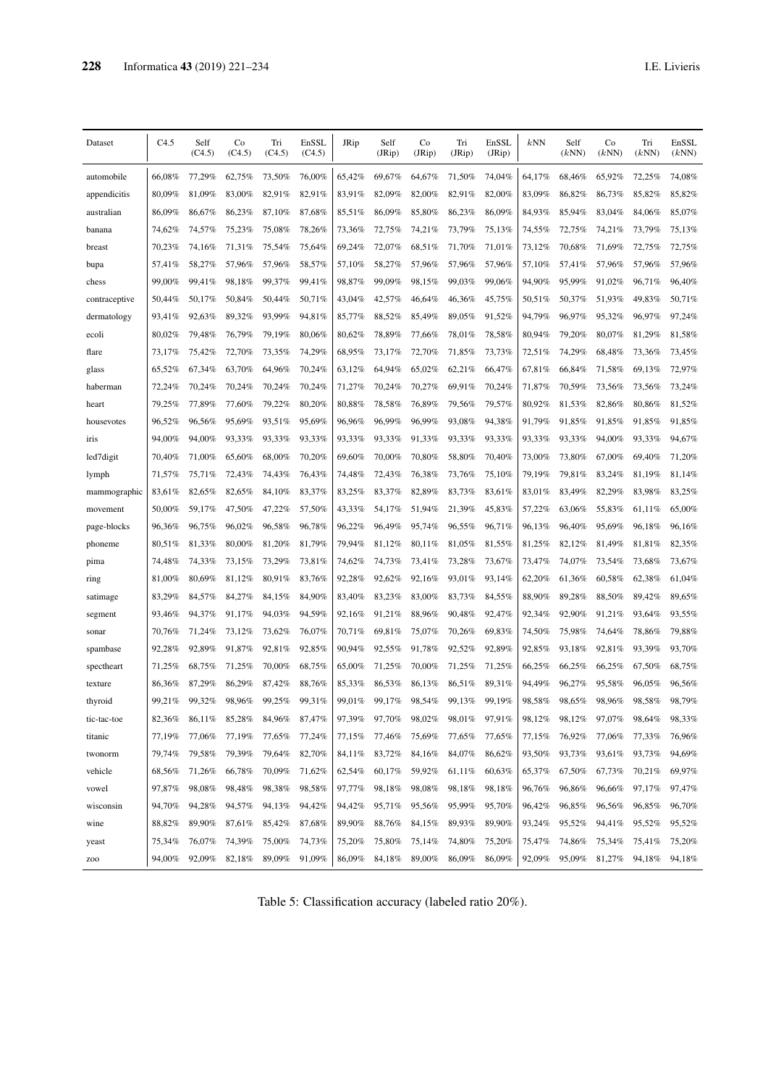| Dataset       | C4.5   | Self<br>(C4.5) | Co<br>(C4.5) | Tri<br>(C4.5) | EnSSL<br>(C4.5) | JRip   | Self<br>(JRip) | Co<br>(JRip) | Tri<br>(JRip) | EnSSL<br>(JRip) | $k{\rm NN}$ | Self<br>(kNN) | Co<br>(kNN) | Tri<br>(kNN) | EnSSL<br>(kNN) |
|---------------|--------|----------------|--------------|---------------|-----------------|--------|----------------|--------------|---------------|-----------------|-------------|---------------|-------------|--------------|----------------|
| automobile    | 66,08% | 77,29%         | 62,75%       | 73,50%        | 76,00%          | 65,42% | 69,67%         | 64,67%       | 71,50%        | 74,04%          | 64,17%      | 68,46%        | 65,92%      | 72,25%       | 74,08%         |
| appendicitis  | 80.09% | 81,09%         | 83,00%       | 82,91%        | 82,91%          | 83,91% | 82,09%         | 82,00%       | 82,91%        | 82,00%          | 83,09%      | 86,82%        | 86,73%      | 85,82%       | 85,82%         |
| australian    | 86,09% | 86,67%         | 86,23%       | 87,10%        | 87,68%          | 85,51% | 86,09%         | 85,80%       | 86.23%        | 86,09%          | 84,93%      | 85,94%        | 83,04%      | 84,06%       | 85,07%         |
| banana        | 74,62% | 74,57%         | 75,23%       | 75,08%        | 78,26%          | 73,36% | 72,75%         | 74,21%       | 73,79%        | 75,13%          | 74,55%      | 72,75%        | 74,21%      | 73,79%       | 75,13%         |
| breast        | 70,23% | 74,16%         | 71,31%       | 75,54%        | 75,64%          | 69,24% | 72,07%         | 68,51%       | 71,70%        | 71,01%          | 73,12%      | 70,68%        | 71,69%      | 72,75%       | 72,75%         |
| bupa          | 57,41% | 58,27%         | 57,96%       | 57,96%        | 58,57%          | 57,10% | 58,27%         | 57,96%       | 57,96%        | 57,96%          | 57,10%      | 57,41%        | 57,96%      | 57,96%       | 57,96%         |
| chess         | 99,00% | 99.41%         | 98,18%       | 99,37%        | 99.41%          | 98,87% | 99,09%         | 98,15%       | 99,03%        | 99,06%          | 94,90%      | 95,99%        | 91,02%      | 96,71%       | 96,40%         |
| contraceptive | 50,44% | 50,17%         | 50,84%       | 50,44%        | 50,71%          | 43,04% | 42,57%         | 46.64%       | 46,36%        | 45,75%          | 50,51%      | 50,37%        | 51,93%      | 49,83%       | 50,71%         |
| dermatology   | 93,41% | 92,63%         | 89,32%       | 93,99%        | 94,81%          | 85,77% | 88,52%         | 85,49%       | 89,05%        | 91,52%          | 94,79%      | 96,97%        | 95,32%      | 96,97%       | 97,24%         |
| ecoli         | 80,02% | 79,48%         | 76,79%       | 79,19%        | 80,06%          | 80,62% | 78,89%         | 77.66%       | 78,01%        | 78,58%          | 80,94%      | 79,20%        | 80,07%      | 81,29%       | 81,58%         |
| flare         | 73,17% | 75,42%         | 72,70%       | 73,35%        | 74,29%          | 68,95% | 73,17%         | 72,70%       | 71,85%        | 73,73%          | 72,51%      | 74,29%        | 68,48%      | 73,36%       | 73,45%         |
| glass         | 65,52% | 67,34%         | 63,70%       | 64,96%        | 70,24%          | 63,12% | 64,94%         | 65,02%       | 62,21%        | 66,47%          | 67,81%      | 66,84%        | 71,58%      | 69,13%       | 72,97%         |
| haberman      | 72,24% | 70,24%         | 70,24%       | 70,24%        | 70,24%          | 71,27% | 70,24%         | 70,27%       | 69,91%        | 70.24%          | 71,87%      | 70,59%        | 73,56%      | 73,56%       | 73,24%         |
| heart         | 79,25% | 77,89%         | 77,60%       | 79,22%        | 80,20%          | 80,88% | 78,58%         | 76,89%       | 79,56%        | 79,57%          | 80,92%      | 81,53%        | 82,86%      | 80,86%       | 81,52%         |
| housevotes    | 96,52% | 96,56%         | 95.69%       | 93,51%        | 95,69%          | 96,96% | 96,99%         | 96,99%       | 93,08%        | 94,38%          | 91,79%      | 91,85%        | 91,85%      | 91,85%       | 91,85%         |
| iris          | 94,00% | 94,00%         | 93,33%       | 93,33%        | 93,33%          | 93,33% | 93,33%         | 91,33%       | 93,33%        | 93,33%          | 93,33%      | 93,33%        | 94.00%      | 93,33%       | 94,67%         |
| led7digit     | 70,40% | 71,00%         | 65,60%       | 68,00%        | 70.20%          | 69.60% | 70,00%         | 70,80%       | 58.80%        | 70.40%          | 73,00%      | 73.80%        | 67,00%      | 69,40%       | 71,20%         |
| lymph         | 71,57% | 75,71%         | 72,43%       | 74,43%        | 76,43%          | 74,48% | 72,43%         | 76,38%       | 73,76%        | 75,10%          | 79,19%      | 79,81%        | 83,24%      | 81,19%       | 81,14%         |
| mammographic  | 83,61% | 82,65%         | 82,65%       | 84.10%        | 83,37%          | 83,25% | 83,37%         | 82.89%       | 83,73%        | 83,61%          | 83,01%      | 83,49%        | 82,29%      | 83,98%       | 83,25%         |
| movement      | 50,00% | 59,17%         | 47,50%       | 47,22%        | 57,50%          | 43,33% | 54,17%         | 51,94%       | 21,39%        | 45,83%          | 57,22%      | 63,06%        | 55,83%      | 61,11%       | 65,00%         |
| page-blocks   | 96,36% | 96,75%         | 96,02%       | 96,58%        | 96,78%          | 96,22% | 96,49%         | 95,74%       | 96,55%        | 96,71%          | 96,13%      | 96,40%        | 95,69%      | 96,18%       | 96,16%         |
| phoneme       | 80,51% | 81,33%         | 80,00%       | 81,20%        | 81,79%          | 79,94% | 81,12%         | 80,11%       | 81,05%        | 81,55%          | 81,25%      | 82,12%        | 81,49%      | 81,81%       | 82,35%         |
| pima          | 74,48% | 74,33%         | 73,15%       | 73,29%        | 73,81%          | 74,62% | 74,73%         | 73,41%       | 73,28%        | 73,67%          | 73,47%      | 74,07%        | 73,54%      | 73,68%       | 73,67%         |
| ring          | 81,00% | 80,69%         | 81,12%       | 80,91%        | 83,76%          | 92,28% | 92,62%         | 92,16%       | 93,01%        | 93,14%          | 62,20%      | 61,36%        | 60,58%      | 62,38%       | 61,04%         |
| satimage      | 83,29% | 84,57%         | 84,27%       | 84,15%        | 84,90%          | 83,40% | 83,23%         | 83,00%       | 83,73%        | 84,55%          | 88,90%      | 89,28%        | 88,50%      | 89,42%       | 89,65%         |
| segment       | 93,46% | 94,37%         | 91,17%       | 94,03%        | 94,59%          | 92,16% | 91,21%         | 88,96%       | 90,48%        | 92,47%          | 92,34%      | 92,90%        | 91,21%      | 93,64%       | 93,55%         |
| sonar         | 70.76% | 71,24%         | 73,12%       | 73,62%        | 76,07%          | 70,71% | 69,81%         | 75,07%       | 70.26%        | 69,83%          | 74,50%      | 75,98%        | 74.64%      | 78,86%       | 79,88%         |
| spambase      | 92,28% | 92,89%         | 91,87%       | 92,81%        | 92,85%          | 90,94% | 92,55%         | 91,78%       | 92,52%        | 92,89%          | 92,85%      | 93,18%        | 92,81%      | 93,39%       | 93,70%         |
| spectheart    | 71,25% | 68,75%         | 71,25%       | 70,00%        | 68,75%          | 65,00% | 71,25%         | 70,00%       | 71,25%        | 71,25%          | 66,25%      | 66,25%        | 66,25%      | 67,50%       | 68,75%         |
| texture       | 86,36% | 87,29%         | 86,29%       | 87.42%        | 88,76%          | 85,33% | 86,53%         | 86,13%       | 86,51%        | 89,31%          | 94,49%      | 96.27%        | 95,58%      | 96,05%       | 96,56%         |
| thyroid       | 99.21% | 99,32%         | 98.96%       | 99.25%        | 99,31%          | 99,01% | 99.17%         | 98.54%       | 99.13%        | 99,19%          | 98,58%      | 98.65%        | 98,96%      | 98,58%       | 98,79%         |
| tic-tac-toe   | 82,36% | 86,11%         | 85,28%       | 84,96%        | 87,47%          | 97,39% | 97,70%         | 98,02%       | 98,01%        | 97,91%          | 98,12%      | 98,12%        | 97,07%      | 98,64%       | 98,33%         |
| titanic       | 77,19% | 77,06%         | 77,19%       | 77,65%        | 77,24%          | 77,15% | 77,46%         | 75,69%       | 77,65%        | 77,65%          | 77,15%      | 76,92%        | 77,06%      | 77,33%       | 76,96%         |
| twonorm       | 79,74% | 79,58%         | 79,39%       | 79,64%        | 82,70%          | 84,11% | 83,72%         | 84,16%       | 84,07%        | 86,62%          | 93,50%      | 93,73%        | 93,61%      | 93,73%       | 94,69%         |
| vehicle       | 68,56% | 71,26%         | 66,78%       | 70,09%        | 71,62%          | 62,54% | 60,17%         | 59,92%       | 61,11%        | 60,63%          | 65,37%      | 67,50%        | 67,73%      | 70,21%       | 69,97%         |
| vowel         | 97,87% | 98,08%         | 98,48%       | 98,38%        | 98,58%          | 97,77% | 98,18%         | 98,08%       | 98,18%        | 98,18%          | 96,76%      | 96,86%        | 96,66%      | 97,17%       | 97,47%         |
| wisconsin     | 94,70% | 94,28%         | 94,57%       | 94,13%        | 94,42%          | 94,42% | 95,71%         | 95,56%       | 95,99%        | 95,70%          | 96,42%      | 96,85%        | 96,56%      | 96,85%       | 96,70%         |
| wine          | 88,82% | 89,90%         | 87,61%       | 85,42%        | 87,68%          | 89,90% | 88,76%         | 84,15%       | 89,93%        | 89,90%          | 93,24%      | 95,52%        | 94,41%      | 95,52%       | 95,52%         |
| yeast         | 75,34% | 76,07%         | 74,39%       | 75,00%        | 74,73%          | 75,20% | 75,80%         | 75,14%       | 74,80%        | 75,20%          | 75,47%      | 74,86%        | 75,34%      | 75,41%       | 75,20%         |
| Z00           | 94.00% | 92,09%         | 82,18%       |               | 89,09% 91,09%   | 86,09% | 84,18%         | 89,00%       | 86,09%        | 86,09%          | 92,09%      | 95,09%        | 81,27%      | 94,18%       | 94,18%         |

Table 5: Classification accuracy (labeled ratio 20%).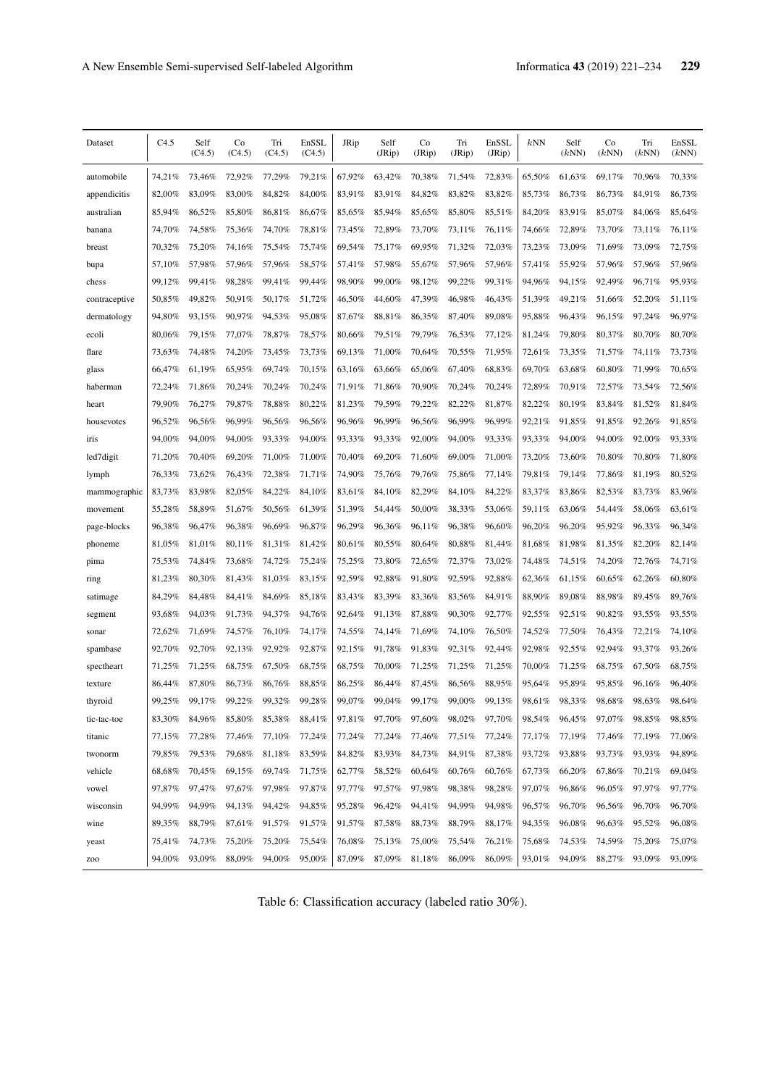| Dataset         | C4.5   | Self<br>(C4.5) | Co<br>(C4.5) | Tri<br>(C4.5) | EnSSL<br>(C4.5) | JRip   | Self<br>(JRip) | Co<br>(JRip) | Tri<br>(JRip) | EnSSL<br>(JRip) | kNN    | Self<br>(kNN) | Co<br>(kNN) | Tri<br>(kNN) | EnSSL<br>(kNN) |
|-----------------|--------|----------------|--------------|---------------|-----------------|--------|----------------|--------------|---------------|-----------------|--------|---------------|-------------|--------------|----------------|
| automobile      | 74,21% | 73,46%         | 72,92%       | 77,29%        | 79,21%          | 67,92% | 63.42%         | 70,38%       | 71,54%        | 72,83%          | 65,50% | 61,63%        | 69,17%      | 70.96%       | 70,33%         |
| appendicitis    | 82,00% | 83,09%         | 83,00%       | 84,82%        | 84,00%          | 83,91% | 83,91%         | 84,82%       | 83,82%        | 83,82%          | 85,73% | 86,73%        | 86,73%      | 84,91%       | 86,73%         |
| australian      | 85,94% | 86,52%         | 85,80%       | 86,81%        | 86,67%          | 85,65% | 85,94%         | 85,65%       | 85,80%        | 85,51%          | 84,20% | 83,91%        | 85,07%      | 84,06%       | 85,64%         |
| banana          | 74,70% | 74,58%         | 75,36%       | 74,70%        | 78,81%          | 73,45% | 72,89%         | 73,70%       | 73,11%        | 76,11%          | 74,66% | 72,89%        | 73,70%      | 73,11%       | 76,11%         |
| breast          | 70,32% | 75,20%         | 74,16%       | 75,54%        | 75,74%          | 69,54% | 75,17%         | 69,95%       | 71,32%        | 72,03%          | 73,23% | 73,09%        | 71,69%      | 73,09%       | 72,75%         |
| bupa            | 57,10% | 57,98%         | 57,96%       | 57,96%        | 58,57%          | 57,41% | 57,98%         | 55,67%       | 57,96%        | 57,96%          | 57,41% | 55,92%        | 57,96%      | 57,96%       | 57,96%         |
| chess           | 99,12% | 99.41%         | 98.28%       | 99,41%        | 99,44%          | 98.90% | 99,00%         | 98,12%       | 99.22%        | 99,31%          | 94.96% | 94,15%        | 92,49%      | 96.71%       | 95,93%         |
| contraceptive   | 50,85% | 49,82%         | 50,91%       | 50,17%        | 51,72%          | 46,50% | 44,60%         | 47,39%       | 46,98%        | 46,43%          | 51,39% | 49,21%        | 51,66%      | 52,20%       | 51.11%         |
| dermatology     | 94,80% | 93,15%         | 90,97%       | 94,53%        | 95,08%          | 87,67% | 88,81%         | 86,35%       | 87,40%        | 89,08%          | 95,88% | 96,43%        | 96,15%      | 97,24%       | 96,97%         |
| ecoli           | 80,06% | 79,15%         | 77,07%       | 78,87%        | 78,57%          | 80,66% | 79,51%         | 79,79%       | 76,53%        | 77,12%          | 81,24% | 79,80%        | 80,37%      | 80,70%       | 80,70%         |
| flare           | 73,63% | 74,48%         | 74,20%       | 73,45%        | 73,73%          | 69,13% | 71,00%         | 70,64%       | 70,55%        | 71,95%          | 72,61% | 73,35%        | 71,57%      | 74,11%       | 73,73%         |
| glass           | 66,47% | 61,19%         | 65,95%       | 69,74%        | 70,15%          | 63,16% | 63,66%         | 65,06%       | 67,40%        | 68,83%          | 69,70% | 63,68%        | 60,80%      | 71,99%       | 70,65%         |
| haberman        | 72,24% | 71,86%         | 70.24%       | 70.24%        | 70.24%          | 71,91% | 71,86%         | 70,90%       | 70,24%        | 70.24%          | 72,89% | 70,91%        | 72,57%      | 73.54%       | 72,56%         |
| heart           | 79,90% | 76,27%         | 79,87%       | 78,88%        | 80,22%          | 81,23% | 79,59%         | 79,22%       | 82,22%        | 81,87%          | 82,22% | 80,19%        | 83,84%      | 81,52%       | 81,84%         |
| housevotes      | 96.52% | 96,56%         | 96.99%       | 96,56%        | 96,56%          | 96,96% | 96,99%         | 96,56%       | 96,99%        | 96.99%          | 92,21% | 91,85%        | 91,85%      | 92,26%       | 91,85%         |
| iris            | 94,00% | 94.00%         | 94,00%       | 93.33%        | 94,00%          | 93,33% | 93,33%         | 92.00%       | 94,00%        | 93,33%          | 93,33% | 94.00%        | 94,00%      | 92,00%       | 93,33%         |
| led7digit       | 71,20% | 70,40%         | 69,20%       | 71,00%        | 71.00%          | 70,40% | 69,20%         | 71,60%       | 69,00%        | 71,00%          | 73,20% | 73,60%        | 70,80%      | 70,80%       | 71,80%         |
| lymph           | 76,33% | 73,62%         | 76,43%       | 72,38%        | 71,71%          | 74,90% | 75,76%         | 79,76%       | 75,86%        | 77,14%          | 79,81% | 79,14%        | 77,86%      | 81,19%       | 80,52%         |
| mammographic    | 83,73% | 83,98%         | 82,05%       | 84.22%        | 84,10%          | 83,61% | 84,10%         | 82,29%       | 84,10%        | 84,22%          | 83,37% | 83,86%        | 82,53%      | 83,73%       | 83,96%         |
| movement        | 55,28% | 58,89%         | 51,67%       | 50,56%        | 61,39%          | 51,39% | 54,44%         | 50,00%       | 38,33%        | 53,06%          | 59,11% | 63,06%        | 54,44%      | 58,06%       | 63,61%         |
| page-blocks     | 96,38% | 96,47%         | 96,38%       | 96,69%        | 96,87%          | 96,29% | 96,36%         | 96,11%       | 96,38%        | 96,60%          | 96,20% | 96,20%        | 95,92%      | 96,33%       | 96,34%         |
| phoneme         | 81,05% | 81,01%         | 80,11%       | 81,31%        | 81,42%          | 80,61% | 80,55%         | 80,64%       | 80,88%        | 81,44%          | 81,68% | 81,98%        | 81,35%      | 82,20%       | 82,14%         |
| pima            | 75,53% | 74,84%         | 73,68%       | 74,72%        | 75,24%          | 75,25% | 73,80%         | 72,65%       | 72,37%        | 73,02%          | 74,48% | 74,51%        | 74,20%      | 72,76%       | 74,71%         |
| ring            | 81,23% | 80,30%         | 81,43%       | 81,03%        | 83,15%          | 92,59% | 92,88%         | 91,80%       | 92,59%        | 92,88%          | 62,36% | 61,15%        | 60,65%      | 62,26%       | 60,80%         |
| satimage        | 84,29% | 84,48%         | 84,41%       | 84,69%        | 85,18%          | 83,43% | 83,39%         | 83,36%       | 83,56%        | 84,91%          | 88,90% | 89,08%        | 88,98%      | 89,45%       | 89,76%         |
| segment         | 93,68% | 94,03%         | 91,73%       | 94,37%        | 94,76%          | 92,64% | 91,13%         | 87,88%       | 90,30%        | 92,77%          | 92,55% | 92,51%        | 90,82%      | 93,55%       | 93,55%         |
| sonar           | 72.62% | 71,69%         | 74,57%       | 76,10%        | 74,17%          | 74,55% | 74,14%         | 71,69%       | 74.10%        | 76,50%          | 74,52% | 77,50%        | 76,43%      | 72,21%       | 74,10%         |
| spambase        | 92,70% | 92,70%         | 92,13%       | 92,92%        | 92,87%          | 92,15% | 91,78%         | 91,83%       | 92,31%        | 92.44%          | 92.98% | 92.55%        | 92,94%      | 93,37%       | 93,26%         |
| spectheart      | 71,25% | 71,25%         | 68,75%       | 67,50%        | 68,75%          | 68,75% | 70,00%         | 71,25%       | 71,25%        | 71,25%          | 70,00% | 71,25%        | 68,75%      | 67,50%       | 68,75%         |
| texture         | 86,44% | 87,80%         | 86.73%       | 86,76%        | 88,85%          | 86,25% | 86,44%         | 87,45%       | 86.56%        | 88,95%          | 95.64% | 95,89%        | 95,85%      | 96.16%       | 96,40%         |
| thyroid         | 99,25% | 99,17%         | 99,22%       | 99,32%        | 99,28%          | 99.07% | 99,04%         | 99,17%       | 99,00%        | 99,13%          | 98,61% | 98,33%        | 98,68%      | 98,63%       | 98,64%         |
| tic-tac-toe     | 83,30% | 84,96%         | 85,80%       | 85,38%        | 88,41%          | 97,81% | 97,70%         | 97,60%       | 98,02%        | 97,70%          | 98,54% | 96,45%        | 97,07%      | 98,85%       | 98,85%         |
| titanic         | 77,15% | 77,28%         | 77,46%       | 77,10%        | 77,24%          | 77,24% | 77,24%         | 77,46%       | 77,51%        | 77,24%          | 77,17% | 77,19%        | 77,46%      | 77,19%       | 77,06%         |
| twonorm         | 79,85% | 79,53%         | 79,68%       | 81,18% 83,59% |                 | 84,82% | 83,93%         | 84,73%       | 84,91%        | 87,38%          | 93,72% | 93,88%        | 93,73%      | 93,93%       | 94,89%         |
| vehicle         | 68,68% | 70,45%         | 69,15%       | 69,74%        | 71,75%          | 62,77% | 58,52%         | 60,64%       | 60,76%        | 60,76%          | 67,73% | 66,20%        | 67,86%      | 70,21%       | 69,04%         |
| vowel           | 97,87% | 97,47%         | 97,67%       | 97,98%        | 97,87%          | 97,77% | 97,57%         | 97,98%       | 98,38%        | 98,28%          | 97,07% | 96,86%        | 96,05%      | 97,97%       | 97,77%         |
| wisconsin       | 94,99% | 94,99%         | 94,13%       | 94,42%        | 94,85%          | 95,28% | 96,42%         | 94,41%       | 94,99%        | 94,98%          | 96,57% | 96,70%        | 96,56%      | 96,70%       | 96,70%         |
| wine            | 89,35% | 88,79%         | 87,61%       | 91,57%        | 91,57%          | 91,57% | 87,58%         | 88,73%       | 88,79%        | 88,17%          | 94,35% | 96,08%        | 96,63%      | 95,52%       | 96,08%         |
| yeast           | 75,41% | 74,73%         | 75,20%       | 75,20%        | 75,54%          | 76,08% | 75,13%         | 75,00%       | 75,54%        | 76,21%          | 75,68% | 74,53%        | 74,59%      | 75,20%       | 75,07%         |
| ZO <sub>O</sub> | 94,00% | 93,09%         | 88,09%       | 94,00%        | 95,00%          | 87,09% | 87,09%         | 81,18%       | 86,09%        | 86,09%          | 93,01% | 94,09%        | 88,27%      | 93,09%       | 93,09%         |

Table 6: Classification accuracy (labeled ratio 30%).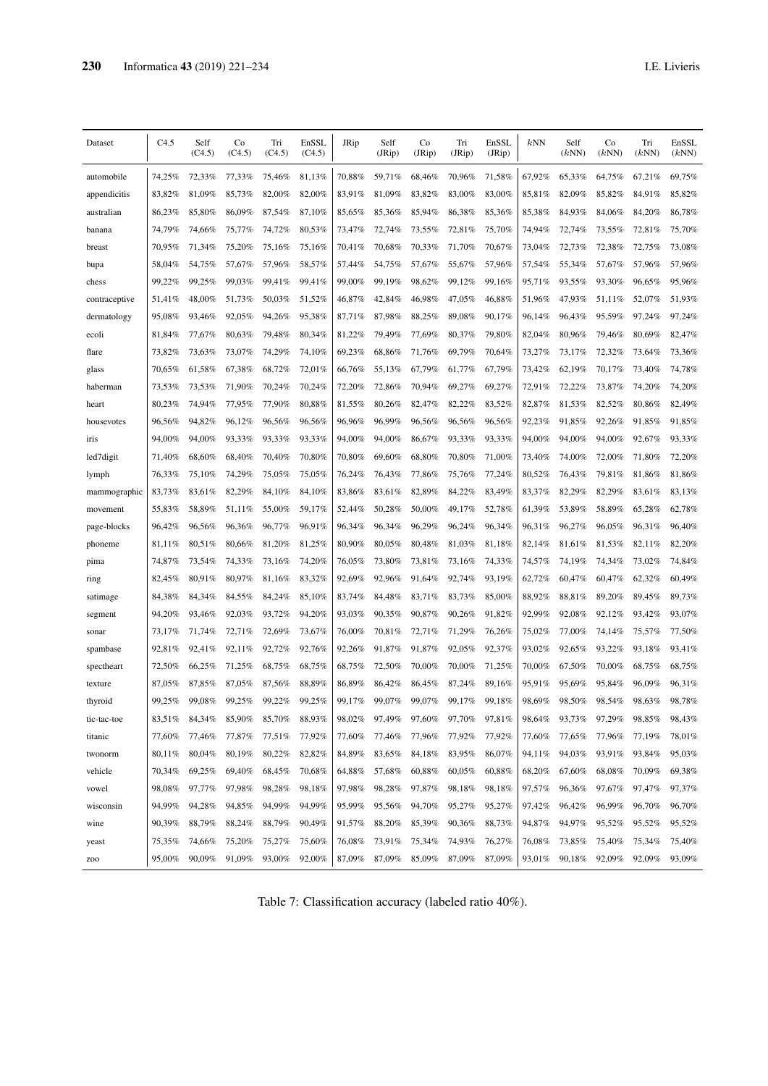| Dataset       | C4.5   | Self<br>(C4.5) | Co<br>(C4.5) | Tri<br>(C4.5) | EnSSL<br>(C4.5) | JRip   | Self<br>(JRip) | Co<br>(JRip) | Tri<br>(JRip) | EnSSL<br>(JRip) | kNN    | Self<br>(kNN) | Co<br>(kNN) | Tri<br>(kNN) | EnSSL<br>(kNN) |
|---------------|--------|----------------|--------------|---------------|-----------------|--------|----------------|--------------|---------------|-----------------|--------|---------------|-------------|--------------|----------------|
| automobile    | 74,25% | 72,33%         | 77,33%       | 75,46%        | 81,13%          | 70,88% | 59,71%         | 68,46%       | 70,96%        | 71,58%          | 67,92% | 65,33%        | 64,75%      | 67,21%       | 69,75%         |
| appendicitis  | 83,82% | 81,09%         | 85,73%       | 82,00%        | 82,00%          | 83,91% | 81,09%         | 83,82%       | 83,00%        | 83,00%          | 85,81% | 82,09%        | 85,82%      | 84,91%       | 85,82%         |
| australian    | 86,23% | 85,80%         | 86,09%       | 87,54%        | 87,10%          | 85,65% | 85,36%         | 85,94%       | 86,38%        | 85,36%          | 85,38% | 84,93%        | 84,06%      | 84,20%       | 86,78%         |
| banana        | 74,79% | 74,66%         | 75,77%       | 74,72%        | 80,53%          | 73,47% | 72,74%         | 73,55%       | 72,81%        | 75,70%          | 74,94% | 72,74%        | 73,55%      | 72,81%       | 75,70%         |
| breast        | 70,95% | 71,34%         | 75,20%       | 75,16%        | 75,16%          | 70,41% | 70,68%         | 70,33%       | 71,70%        | 70,67%          | 73,04% | 72,73%        | 72,38%      | 72,75%       | 73,08%         |
| bupa          | 58,04% | 54,75%         | 57,67%       | 57,96%        | 58,57%          | 57,44% | 54,75%         | 57,67%       | 55,67%        | 57,96%          | 57,54% | 55,34%        | 57,67%      | 57,96%       | 57,96%         |
| chess         | 99.22% | 99.25%         | 99,03%       | 99,41%        | 99,41%          | 99,00% | 99,19%         | 98,62%       | 99,12%        | 99,16%          | 95,71% | 93,55%        | 93,30%      | 96,65%       | 95,96%         |
| contraceptive | 51,41% | 48,00%         | 51,73%       | 50,03%        | 51,52%          | 46,87% | 42,84%         | 46,98%       | 47,05%        | 46,88%          | 51,96% | 47,93%        | 51,11%      | 52,07%       | 51,93%         |
| dermatology   | 95,08% | 93,46%         | 92,05%       | 94,26%        | 95,38%          | 87,71% | 87,98%         | 88,25%       | 89,08%        | 90,17%          | 96,14% | 96,43%        | 95,59%      | 97,24%       | 97,24%         |
| ecoli         | 81,84% | 77,67%         | 80,63%       | 79,48%        | 80,34%          | 81,22% | 79,49%         | 77,69%       | 80,37%        | 79,80%          | 82,04% | 80,96%        | 79,46%      | 80,69%       | 82,47%         |
| flare         | 73,82% | 73,63%         | 73,07%       | 74,29%        | 74,10%          | 69,23% | 68,86%         | 71,76%       | 69,79%        | 70,64%          | 73,27% | 73,17%        | 72,32%      | 73,64%       | 73,36%         |
| glass         | 70,65% | 61,58%         | 67,38%       | 68,72%        | 72,01%          | 66,76% | 55,13%         | 67,79%       | 61,77%        | 67,79%          | 73,42% | 62,19%        | 70,17%      | 73,40%       | 74,78%         |
| haberman      | 73,53% | 73,53%         | 71,90%       | 70,24%        | 70,24%          | 72,20% | 72,86%         | 70.94%       | 69,27%        | 69,27%          | 72,91% | 72,22%        | 73,87%      | 74.20%       | 74,20%         |
| heart         | 80,23% | 74,94%         | 77,95%       | 77,90%        | 80,88%          | 81,55% | 80,26%         | 82,47%       | 82,22%        | 83,52%          | 82,87% | 81,53%        | 82,52%      | 80,86%       | 82,49%         |
| housevotes    | 96,56% | 94,82%         | 96,12%       | 96,56%        | 96,56%          | 96,96% | 96,99%         | 96,56%       | 96,56%        | 96,56%          | 92.23% | 91,85%        | 92,26%      | 91,85%       | 91,85%         |
| iris          | 94,00% | 94,00%         | 93,33%       | 93,33%        | 93,33%          | 94,00% | 94,00%         | 86,67%       | 93,33%        | 93,33%          | 94,00% | 94,00%        | 94,00%      | 92,67%       | 93,33%         |
| led7digit     | 71,40% | 68,60%         | 68,40%       | 70.40%        | 70.80%          | 70,80% | 69,60%         | 68.80%       | 70.80%        | 71,00%          | 73,40% | 74,00%        | 72,00%      | 71,80%       | 72,20%         |
| lymph         | 76,33% | 75,10%         | 74,29%       | 75,05%        | 75,05%          | 76,24% | 76,43%         | 77,86%       | 75,76%        | 77,24%          | 80,52% | 76,43%        | 79,81%      | 81,86%       | 81,86%         |
| mammographic  | 83,73% | 83.61%         | 82,29%       | 84.10%        | 84,10%          | 83,86% | 83,61%         | 82,89%       | 84.22%        | 83.49%          | 83,37% | 82,29%        | 82,29%      | 83,61%       | 83,13%         |
| movement      | 55,83% | 58,89%         | 51,11%       | 55,00%        | 59,17%          | 52,44% | 50,28%         | 50,00%       | 49,17%        | 52,78%          | 61,39% | 53,89%        | 58,89%      | 65,28%       | 62,78%         |
| page-blocks   | 96,42% | 96,56%         | 96,36%       | 96,77%        | 96,91%          | 96,34% | 96,34%         | 96,29%       | 96,24%        | 96,34%          | 96,31% | 96,27%        | 96,05%      | 96,31%       | 96,40%         |
| phoneme       | 81,11% | 80,51%         | 80,66%       | 81,20%        | 81,25%          | 80,90% | 80,05%         | $80,48\%$    | 81,03%        | 81,18%          | 82,14% | 81,61%        | 81,53%      | 82,11%       | 82,20%         |
| pima          | 74,87% | 73,54%         | 74,33%       | 73,16%        | 74,20%          | 76,05% | 73,80%         | 73,81%       | 73,16%        | 74,33%          | 74,57% | 74,19%        | 74,34%      | 73,02%       | 74,84%         |
| ring          | 82,45% | 80,91%         | 80,97%       | 81,16%        | 83,32%          | 92,69% | 92,96%         | 91,64%       | 92,74%        | 93,19%          | 62,72% | 60,47%        | 60,47%      | 62,32%       | 60,49%         |
| satimage      | 84,38% | 84,34%         | 84,55%       | 84,24%        | 85,10%          | 83,74% | 84,48%         | 83,71%       | 83,73%        | 85,00%          | 88,92% | 88,81%        | 89,20%      | 89,45%       | 89,73%         |
| segment       | 94,20% | 93,46%         | 92,03%       | 93,72%        | 94,20%          | 93,03% | 90,35%         | $90,87\%$    | 90,26%        | 91,82%          | 92,99% | 92,08%        | 92,12%      | 93,42%       | 93,07%         |
| sonar         | 73,17% | 71.74%         | 72,71%       | 72,69%        | 73,67%          | 76,00% | 70,81%         | 72,71%       | 71.29%        | 76,26%          | 75,02% | 77,00%        | 74,14%      | 75,57%       | 77,50%         |
| spambase      | 92,81% | 92,41%         | 92,11%       | 92,72%        | 92,76%          | 92,26% | 91,87%         | 91,87%       | 92,05%        | 92,37%          | 93,02% | 92,65%        | 93,22%      | 93,18%       | 93,41%         |
| spectheart    | 72,50% | 66,25%         | 71,25%       | 68,75%        | 68,75%          | 68,75% | 72,50%         | $70,00\%$    | 70,00%        | 71,25%          | 70,00% | 67,50%        | 70,00%      | 68,75%       | 68,75%         |
| texture       | 87,05% | 87,85%         | 87,05%       | 87,56%        | 88,89%          | 86,89% | 86,42%         | 86,45%       | 87,24%        | 89,16%          | 95,91% | 95.69%        | 95,84%      | 96.09%       | 96,31%         |
| thyroid       | 99,25% | 99,08%         | 99.25%       | 99.22%        | 99,25%          | 99,17% | 99,07%         | 99.07%       | 99.17%        | 99,18%          | 98,69% | 98.50%        | 98.54%      | 98,63%       | 98,78%         |
| tic-tac-toe   | 83,51% | 84,34%         | 85,90%       | 85,70%        | 88,93%          | 98,02% | 97,49%         | 97,60%       | 97,70%        | 97,81%          | 98,64% | 93,73%        | 97,29%      | 98,85%       | 98,43%         |
| titanic       | 77,60% | 77,46%         | 77,87%       | 77,51%        | 77,92%          | 77,60% | 77,46%         | 77,96%       | 77,92%        | 77,92%          | 77,60% | 77,65%        | 77,96%      | 77,19%       | 78,01%         |
| twonorm       | 80,11% | 80,04%         | 80,19%       | 80,22%        | 82,82%          | 84,89% | 83,65%         | 84,18%       | 83,95%        | 86,07%          | 94,11% | 94,03%        | 93,91%      | 93,84%       | 95,03%         |
| vehicle       | 70,34% | 69,25%         | 69,40%       | 68,45%        | 70,68%          | 64,88% | 57,68%         | 60,88%       | 60,05%        | 60,88%          | 68,20% | 67,60%        | 68,08%      | 70,09%       | 69,38%         |
| vowel         | 98,08% | 97,77%         | 97,98%       | 98,28%        | 98,18%          | 97,98% | 98,28%         | 97,87%       | 98,18%        | 98,18%          | 97,57% | 96,36%        | 97,67%      | 97,47%       | 97,37%         |
| wisconsin     | 94,99% | 94,28%         | 94,85%       | 94,99%        | 94,99%          | 95,99% | 95,56%         | 94,70%       | 95,27%        | 95,27%          | 97,42% | 96,42%        | 96,99%      | 96,70%       | 96,70%         |
| wine          | 90,39% | 88,79%         | 88,24%       | 88,79%        | 90,49%          | 91,57% | 88,20%         | 85,39%       | 90,36%        | 88,73%          | 94,87% | 94,97%        | 95,52%      | 95,52%       | 95,52%         |
| yeast         | 75,35% | 74,66%         | 75,20%       | 75,27%        | 75,60%          | 76,08% | 73,91%         | 75,34%       | 74,93%        | 76,27%          | 76,08% | 73,85%        | 75,40%      | 75,34%       | 75,40%         |
| Z00           | 95,00% | 90,09%         | 91,09%       | 93,00%        | 92,00%          | 87,09% | 87,09%         | 85,09%       | 87,09%        | 87,09%          | 93,01% | 90,18%        | 92,09%      | 92,09%       | 93,09%         |

Table 7: Classification accuracy (labeled ratio 40%).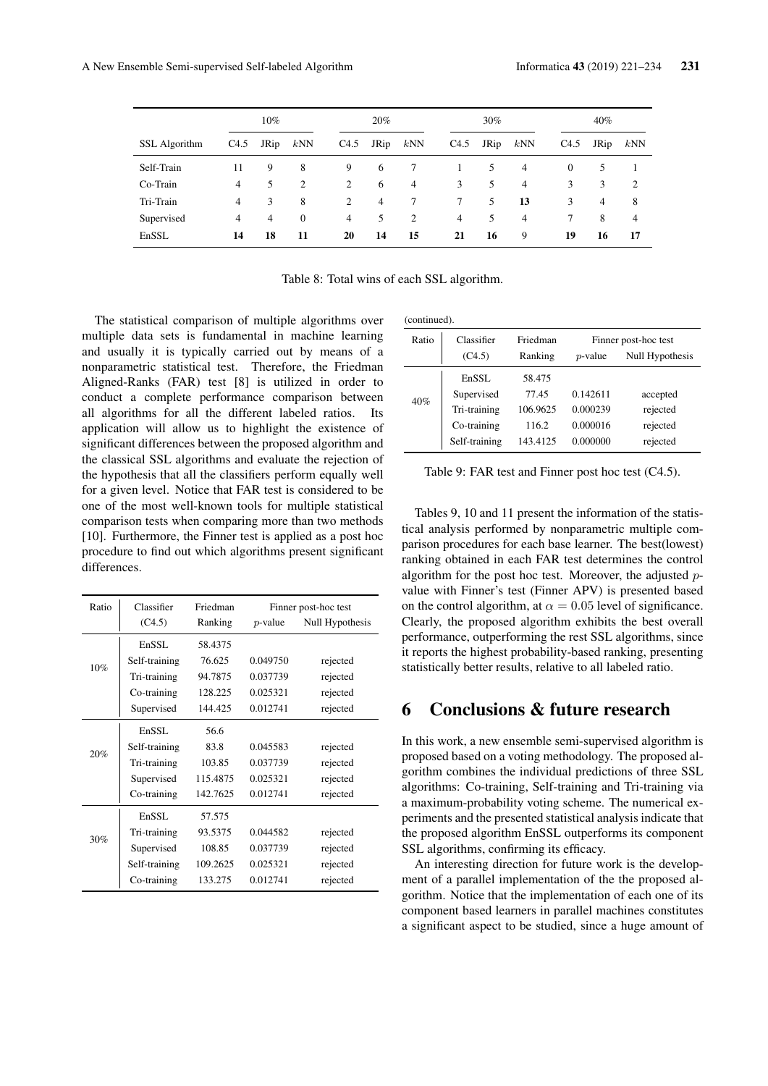|               | $10\%$ |                |                |                | 20%            |                |                | 30%  |                | $40\%$   |      |     |  |
|---------------|--------|----------------|----------------|----------------|----------------|----------------|----------------|------|----------------|----------|------|-----|--|
| SSL Algorithm | C4.5   | JRip           | kNN            | C4.5           | JRip           | kNN            | C4.5           | JRip | kNN            | C4.5     | JRip | kNN |  |
| Self-Train    | 11     | 9              | 8              | 9              | 6              | 7              |                | 5    | 4              | $\theta$ | 5    |     |  |
| Co-Train      | 4      | 5              | $\overline{c}$ | 2              | 6              | $\overline{4}$ | 3              | 5    | $\overline{4}$ | 3        | 3    | 2   |  |
| Tri-Train     | 4      | 3              | 8              | 2              | $\overline{4}$ | 7              | $7^{\circ}$    | 5    | 13             | 3        | 4    | 8   |  |
| Supervised    | 4      | $\overline{4}$ | $\theta$       | $\overline{4}$ | 5              | 2              | $\overline{4}$ | 5    | 4              | $\tau$   | 8    | 4   |  |
| EnSSL         | 14     | 18             | 11             | 20             | 14             | 15             | 21             | 16   | 9              | 19       | 16   | 17  |  |

Table 8: Total wins of each SSL algorithm.

The statistical comparison of multiple algorithms over multiple data sets is fundamental in machine learning and usually it is typically carried out by means of a nonparametric statistical test. Therefore, the Friedman Aligned-Ranks (FAR) test [8] is utilized in order to conduct a complete performance comparison between all algorithms for all the different labeled ratios. Its application will allow us to highlight the existence of significant differences between the proposed algorithm and the classical SSL algorithms and evaluate the rejection of the hypothesis that all the classifiers perform equally well for a given level. Notice that FAR test is considered to be one of the most well-known tools for multiple statistical comparison tests when comparing more than two methods [10]. Furthermore, the Finner test is applied as a post hoc procedure to find out which algorithms present significant differences.

| Ratio | Classifier    | Friedman | Finner post-hoc test |                 |
|-------|---------------|----------|----------------------|-----------------|
|       | (C4.5)        | Ranking  | $p$ -value           | Null Hypothesis |
| 10%   | EnSSL         | 58.4375  |                      |                 |
|       | Self-training | 76.625   | 0.049750             | rejected        |
|       | Tri-training  | 94.7875  | 0.037739             | rejected        |
|       | Co-training   | 128.225  | 0.025321             | rejected        |
|       | Supervised    | 144.425  | 0.012741             | rejected        |
| 20%   | EnSSL         | 56.6     |                      |                 |
|       | Self-training | 83.8     | 0.045583             | rejected        |
|       | Tri-training  | 103.85   | 0.037739             | rejected        |
|       | Supervised    | 115.4875 | 0.025321             | rejected        |
|       | Co-training   | 142.7625 | 0.012741             | rejected        |
| 30%   | EnSSL         | 57.575   |                      |                 |
|       | Tri-training  | 93.5375  | 0.044582             | rejected        |
|       | Supervised    | 108.85   | 0.037739             | rejected        |
|       | Self-training | 109.2625 | 0.025321             | rejected        |
|       | Co-training   | 133.275  | 0.012741             | rejected        |

(continued).

| Ratio | Classifier    | Friedman | Finner post-hoc test |                 |
|-------|---------------|----------|----------------------|-----------------|
|       | (C4.5)        | Ranking  | $p$ -value           | Null Hypothesis |
|       | EnSSL         | 58.475   |                      |                 |
| 40%   | Supervised    | 77.45    | 0.142611             | accepted        |
|       | Tri-training  | 106.9625 | 0.000239             | rejected        |
|       | Co-training   | 116.2    | 0.000016             | rejected        |
|       | Self-training | 143.4125 | 0.000000             | rejected        |

Table 9: FAR test and Finner post hoc test (C4.5).

Tables 9, 10 and 11 present the information of the statistical analysis performed by nonparametric multiple comparison procedures for each base learner. The best(lowest) ranking obtained in each FAR test determines the control algorithm for the post hoc test. Moreover, the adjusted pvalue with Finner's test (Finner APV) is presented based on the control algorithm, at  $\alpha = 0.05$  level of significance. Clearly, the proposed algorithm exhibits the best overall performance, outperforming the rest SSL algorithms, since it reports the highest probability-based ranking, presenting statistically better results, relative to all labeled ratio.

## 6 Conclusions & future research

In this work, a new ensemble semi-supervised algorithm is proposed based on a voting methodology. The proposed algorithm combines the individual predictions of three SSL algorithms: Co-training, Self-training and Tri-training via a maximum-probability voting scheme. The numerical experiments and the presented statistical analysis indicate that the proposed algorithm EnSSL outperforms its component SSL algorithms, confirming its efficacy.

An interesting direction for future work is the development of a parallel implementation of the the proposed algorithm. Notice that the implementation of each one of its component based learners in parallel machines constitutes a significant aspect to be studied, since a huge amount of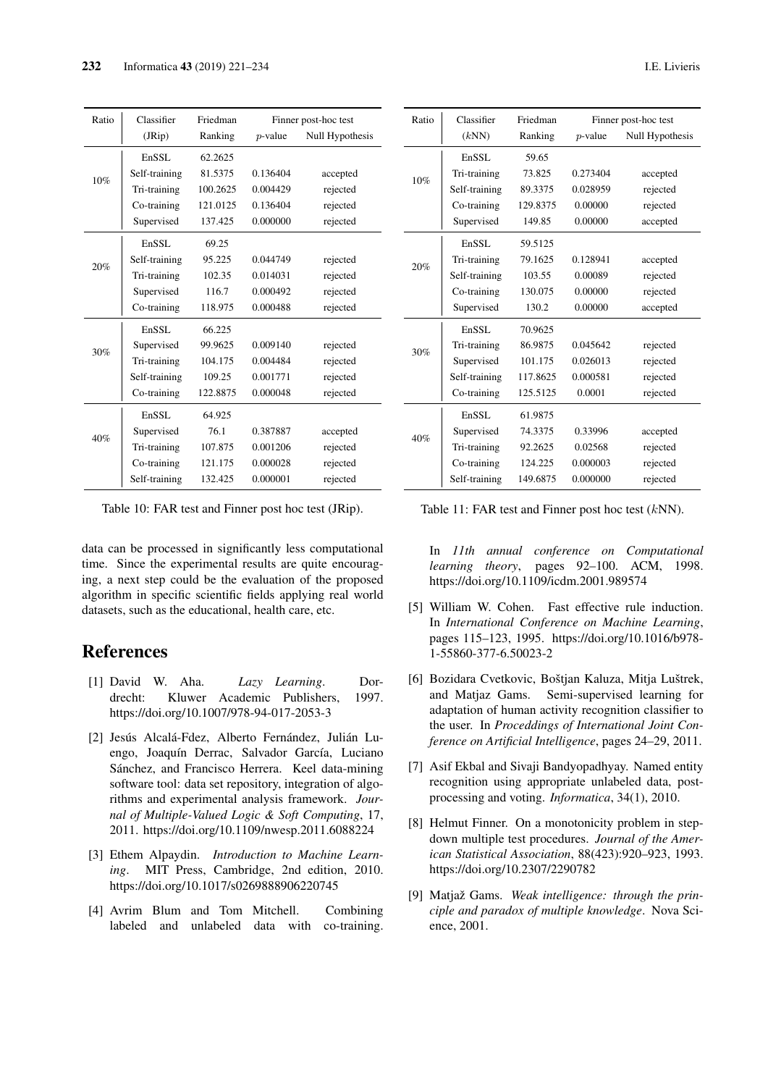| Ratio | Classifier    | Friedman | Finner post-hoc test |                 |
|-------|---------------|----------|----------------------|-----------------|
|       | (JRip)        | Ranking  | $p$ -value           | Null Hypothesis |
|       | EnSSL         | 62.2625  |                      |                 |
|       | Self-training | 81.5375  | 0.136404             | accepted        |
| 10%   | Tri-training  | 100.2625 | 0.004429             | rejected        |
|       | Co-training   | 121.0125 | 0.136404             | rejected        |
|       | Supervised    | 137.425  | 0.000000             | rejected        |
|       | EnSSL         | 69.25    |                      |                 |
| 20%   | Self-training | 95.225   | 0.044749             | rejected        |
|       | Tri-training  | 102.35   | 0.014031             | rejected        |
|       | Supervised    | 116.7    | 0.000492             | rejected        |
|       | Co-training   | 118.975  | 0.000488             | rejected        |
|       | EnSSL         | 66.225   |                      |                 |
| 30%   | Supervised    | 99.9625  | 0.009140             | rejected        |
|       | Tri-training  | 104.175  | 0.004484             | rejected        |
|       | Self-training | 109.25   | 0.001771             | rejected        |
|       | Co-training   | 122.8875 | 0.000048             | rejected        |
| 40%   | EnSSL.        | 64.925   |                      |                 |
|       | Supervised    | 76.1     | 0.387887             | accepted        |
|       | Tri-training  | 107.875  | 0.001206             | rejected        |
|       | Co-training   | 121.175  | 0.000028             | rejected        |
|       | Self-training | 132.425  | 0.000001             | rejected        |

Table 10: FAR test and Finner post hoc test (JRip).

data can be processed in significantly less computational time. Since the experimental results are quite encouraging, a next step could be the evaluation of the proposed algorithm in specific scientific fields applying real world datasets, such as the educational, health care, etc.

# References

- [1] David W. Aha. *Lazy Learning*. Dordrecht: Kluwer Academic Publishers, 1997. https://doi.org/10.1007/978-94-017-2053-3
- [2] Jesús Alcalá-Fdez, Alberto Fernández, Julián Luengo, Joaquín Derrac, Salvador García, Luciano Sánchez, and Francisco Herrera. Keel data-mining software tool: data set repository, integration of algorithms and experimental analysis framework. *Journal of Multiple-Valued Logic & Soft Computing*, 17, 2011. https://doi.org/10.1109/nwesp.2011.6088224
- [3] Ethem Alpaydin. *Introduction to Machine Learning*. MIT Press, Cambridge, 2nd edition, 2010. https://doi.org/10.1017/s0269888906220745
- [4] Avrim Blum and Tom Mitchell. Combining labeled and unlabeled data with co-training.

| Ratio | Classifier    | Friedman | Finner post-hoc test |                 |
|-------|---------------|----------|----------------------|-----------------|
|       | (kNN)         | Ranking  | $p$ -value           | Null Hypothesis |
| 10%   | EnSSL         | 59.65    |                      |                 |
|       | Tri-training  | 73.825   | 0.273404             | accepted        |
|       | Self-training | 89.3375  | 0.028959             | rejected        |
|       | Co-training   | 129.8375 | 0.00000              | rejected        |
|       | Supervised    | 149.85   | 0.00000              | accepted        |
|       | EnSSL.        | 59.5125  |                      |                 |
| 20%   | Tri-training  | 79.1625  | 0.128941             | accepted        |
|       | Self-training | 103.55   | 0.00089              | rejected        |
|       | Co-training   | 130.075  | 0.00000              | rejected        |
|       | Supervised    | 130.2    | 0.00000              | accepted        |
|       | EnSSL.        | 70.9625  |                      |                 |
| 30%   | Tri-training  | 86.9875  | 0.045642             | rejected        |
|       | Supervised    | 101.175  | 0.026013             | rejected        |
|       | Self-training | 117.8625 | 0.000581             | rejected        |
|       | Co-training   | 125.5125 | 0.0001               | rejected        |
| 40%   | EnSSL         | 61.9875  |                      |                 |
|       | Supervised    | 74.3375  | 0.33996              | accepted        |
|       | Tri-training  | 92.2625  | 0.02568              | rejected        |
|       | Co-training   | 124.225  | 0.000003             | rejected        |
|       | Self-training | 149.6875 | 0.000000             | rejected        |

Table 11: FAR test and Finner post hoc test (kNN).

In *11th annual conference on Computational learning theory*, pages 92–100. ACM, 1998. https://doi.org/10.1109/icdm.2001.989574

- [5] William W. Cohen. Fast effective rule induction. In *International Conference on Machine Learning*, pages 115–123, 1995. https://doi.org/10.1016/b978- 1-55860-377-6.50023-2
- [6] Bozidara Cvetkovic, Boštjan Kaluza, Mitja Luštrek, and Matjaz Gams. Semi-supervised learning for adaptation of human activity recognition classifier to the user. In *Proceddings of International Joint Conference on Artificial Intelligence*, pages 24–29, 2011.
- [7] Asif Ekbal and Sivaji Bandyopadhyay. Named entity recognition using appropriate unlabeled data, postprocessing and voting. *Informatica*, 34(1), 2010.
- [8] Helmut Finner. On a monotonicity problem in stepdown multiple test procedures. *Journal of the American Statistical Association*, 88(423):920–923, 1993. https://doi.org/10.2307/2290782
- [9] Matjaž Gams. *Weak intelligence: through the principle and paradox of multiple knowledge*. Nova Science, 2001.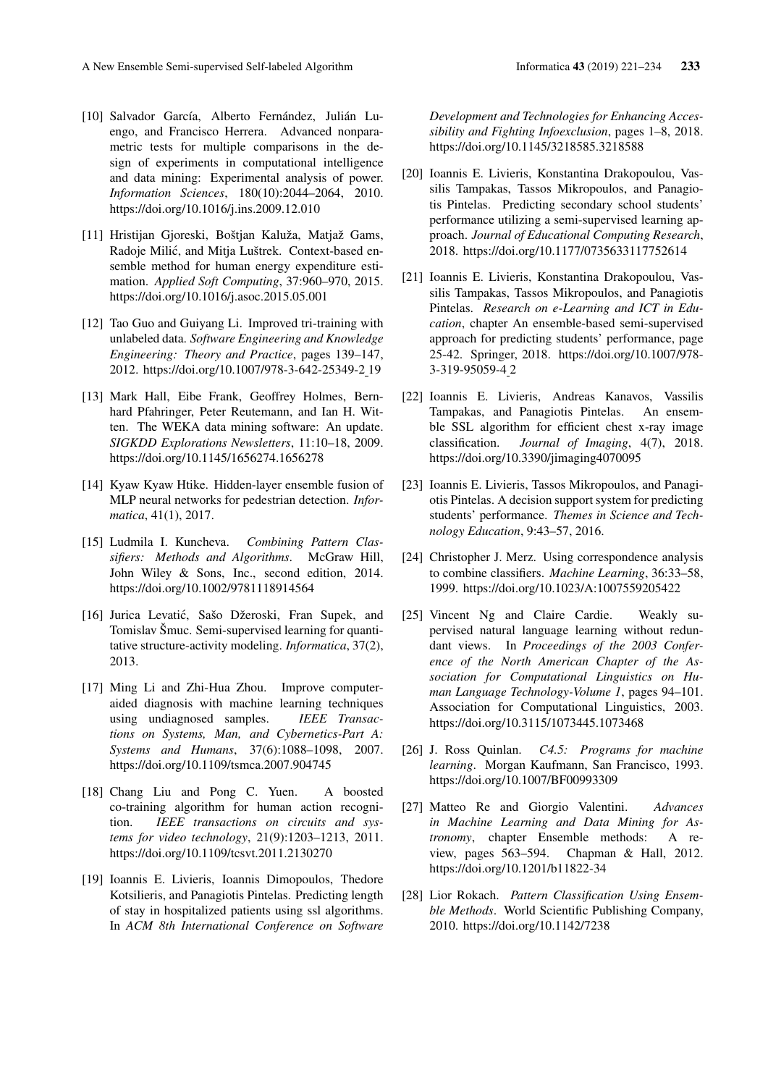- [10] Salvador García, Alberto Fernández, Julián Luengo, and Francisco Herrera. Advanced nonparametric tests for multiple comparisons in the design of experiments in computational intelligence and data mining: Experimental analysis of power. *Information Sciences*, 180(10):2044–2064, 2010. https://doi.org/10.1016/j.ins.2009.12.010
- [11] Hristijan Gjoreski, Boštjan Kaluža, Matjaž Gams, Radoje Milic, and Mitja Luštrek. Context-based en- ´ semble method for human energy expenditure estimation. *Applied Soft Computing*, 37:960–970, 2015. https://doi.org/10.1016/j.asoc.2015.05.001
- [12] Tao Guo and Guiyang Li. Improved tri-training with unlabeled data. *Software Engineering and Knowledge Engineering: Theory and Practice*, pages 139–147, 2012. https://doi.org/10.1007/978-3-642-25349-2 19
- [13] Mark Hall, Eibe Frank, Geoffrey Holmes, Bernhard Pfahringer, Peter Reutemann, and Ian H. Witten. The WEKA data mining software: An update. *SIGKDD Explorations Newsletters*, 11:10–18, 2009. https://doi.org/10.1145/1656274.1656278
- [14] Kyaw Kyaw Htike. Hidden-layer ensemble fusion of MLP neural networks for pedestrian detection. *Informatica*, 41(1), 2017.
- [15] Ludmila I. Kuncheva. *Combining Pattern Classifiers: Methods and Algorithms*. McGraw Hill, John Wiley & Sons, Inc., second edition, 2014. https://doi.org/10.1002/9781118914564
- [16] Jurica Levatić, Sašo Džeroski, Fran Supek, and Tomislav Šmuc. Semi-supervised learning for quantitative structure-activity modeling. *Informatica*, 37(2), 2013.
- [17] Ming Li and Zhi-Hua Zhou. Improve computeraided diagnosis with machine learning techniques using undiagnosed samples. *IEEE Transactions on Systems, Man, and Cybernetics-Part A: Systems and Humans*, 37(6):1088–1098, 2007. https://doi.org/10.1109/tsmca.2007.904745
- [18] Chang Liu and Pong C. Yuen. A boosted co-training algorithm for human action recognition. *IEEE transactions on circuits and systems for video technology*, 21(9):1203–1213, 2011. https://doi.org/10.1109/tcsvt.2011.2130270
- [19] Ioannis E. Livieris, Ioannis Dimopoulos, Thedore Kotsilieris, and Panagiotis Pintelas. Predicting length of stay in hospitalized patients using ssl algorithms. In *ACM 8th International Conference on Software*

*Development and Technologies for Enhancing Accessibility and Fighting Infoexclusion*, pages 1–8, 2018. https://doi.org/10.1145/3218585.3218588

- [20] Ioannis E. Livieris, Konstantina Drakopoulou, Vassilis Tampakas, Tassos Mikropoulos, and Panagiotis Pintelas. Predicting secondary school students' performance utilizing a semi-supervised learning approach. *Journal of Educational Computing Research*, 2018. https://doi.org/10.1177/0735633117752614
- [21] Ioannis E. Livieris, Konstantina Drakopoulou, Vassilis Tampakas, Tassos Mikropoulos, and Panagiotis Pintelas. *Research on e-Learning and ICT in Education*, chapter An ensemble-based semi-supervised approach for predicting students' performance, page 25-42. Springer, 2018. https://doi.org/10.1007/978- 3-319-95059-4 2
- [22] Ioannis E. Livieris, Andreas Kanavos, Vassilis Tampakas, and Panagiotis Pintelas. An ensemble SSL algorithm for efficient chest x-ray image classification. *Journal of Imaging*, 4(7), 2018. https://doi.org/10.3390/jimaging4070095
- [23] Ioannis E. Livieris, Tassos Mikropoulos, and Panagiotis Pintelas. A decision support system for predicting students' performance. *Themes in Science and Technology Education*, 9:43–57, 2016.
- [24] Christopher J. Merz. Using correspondence analysis to combine classifiers. *Machine Learning*, 36:33–58, 1999. https://doi.org/10.1023/A:1007559205422
- [25] Vincent Ng and Claire Cardie. Weakly supervised natural language learning without redundant views. In *Proceedings of the 2003 Conference of the North American Chapter of the Association for Computational Linguistics on Human Language Technology-Volume 1*, pages 94–101. Association for Computational Linguistics, 2003. https://doi.org/10.3115/1073445.1073468
- [26] J. Ross Quinlan. *C4.5: Programs for machine learning*. Morgan Kaufmann, San Francisco, 1993. https://doi.org/10.1007/BF00993309
- [27] Matteo Re and Giorgio Valentini. *Advances in Machine Learning and Data Mining for Astronomy*, chapter Ensemble methods: A review, pages 563–594. Chapman & Hall, 2012. https://doi.org/10.1201/b11822-34
- [28] Lior Rokach. *Pattern Classification Using Ensemble Methods*. World Scientific Publishing Company, 2010. https://doi.org/10.1142/7238